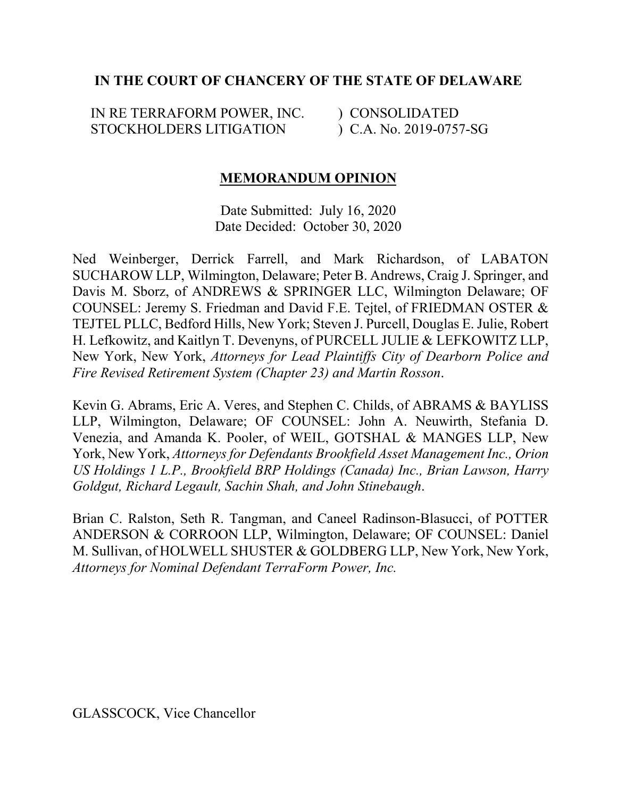## **IN THE COURT OF CHANCERY OF THE STATE OF DELAWARE**

IN RE TERRAFORM POWER, INC. STOCKHOLDERS LITIGATION

) CONSOLIDATED ) C.A. No. 2019-0757-SG

## **MEMORANDUM OPINION**

Date Submitted: July 16, 2020 Date Decided: October 30, 2020

Ned Weinberger, Derrick Farrell, and Mark Richardson, of LABATON SUCHAROW LLP, Wilmington, Delaware; Peter B. Andrews, Craig J. Springer, and Davis M. Sborz, of ANDREWS & SPRINGER LLC, Wilmington Delaware; OF COUNSEL: Jeremy S. Friedman and David F.E. Tejtel, of FRIEDMAN OSTER & TEJTEL PLLC, Bedford Hills, New York; Steven J. Purcell, Douglas E. Julie, Robert H. Lefkowitz, and Kaitlyn T. Devenyns, of PURCELL JULIE & LEFKOWITZ LLP, New York, New York, *Attorneys for Lead Plaintiffs City of Dearborn Police and Fire Revised Retirement System (Chapter 23) and Martin Rosson*.

Kevin G. Abrams, Eric A. Veres, and Stephen C. Childs, of ABRAMS & BAYLISS LLP, Wilmington, Delaware; OF COUNSEL: John A. Neuwirth, Stefania D. Venezia, and Amanda K. Pooler, of WEIL, GOTSHAL & MANGES LLP, New York, New York, *Attorneys for Defendants Brookfield Asset Management Inc., Orion US Holdings 1 L.P., Brookfield BRP Holdings (Canada) Inc., Brian Lawson, Harry Goldgut, Richard Legault, Sachin Shah, and John Stinebaugh*.

Brian C. Ralston, Seth R. Tangman, and Caneel Radinson-Blasucci, of POTTER ANDERSON & CORROON LLP, Wilmington, Delaware; OF COUNSEL: Daniel M. Sullivan, of HOLWELL SHUSTER & GOLDBERG LLP, New York, New York, *Attorneys for Nominal Defendant TerraForm Power, Inc.*

GLASSCOCK, Vice Chancellor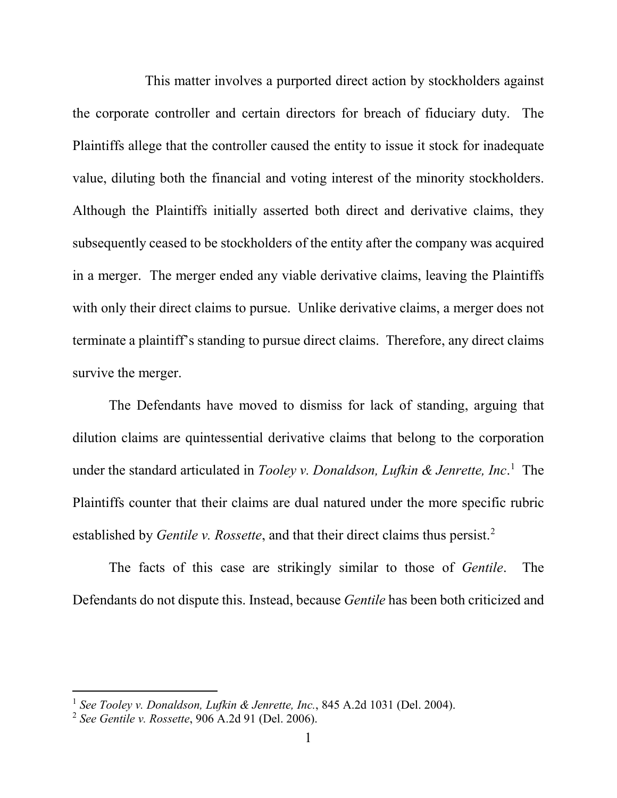This matter involves a purported direct action by stockholders against the corporate controller and certain directors for breach of fiduciary duty. The Plaintiffs allege that the controller caused the entity to issue it stock for inadequate value, diluting both the financial and voting interest of the minority stockholders. Although the Plaintiffs initially asserted both direct and derivative claims, they subsequently ceased to be stockholders of the entity after the company was acquired in a merger. The merger ended any viable derivative claims, leaving the Plaintiffs with only their direct claims to pursue. Unlike derivative claims, a merger does not terminate a plaintiff's standing to pursue direct claims. Therefore, any direct claims survive the merger.

The Defendants have moved to dismiss for lack of standing, arguing that dilution claims are quintessential derivative claims that belong to the corporation under the standard articulated in *Tooley v. Donaldson, Lufkin & Jenrette, Inc*. <sup>1</sup> The Plaintiffs counter that their claims are dual natured under the more specific rubric established by *Gentile v. Rossette*, and that their direct claims thus persist. 2

The facts of this case are strikingly similar to those of *Gentile*. The Defendants do not dispute this. Instead, because *Gentile* has been both criticized and

 <sup>1</sup> *See Tooley v. Donaldson, Lufkin & Jenrette, Inc.*, 845 A.2d 1031 (Del. 2004).

<sup>2</sup> *See Gentile v. Rossette*, 906 A.2d 91 (Del. 2006).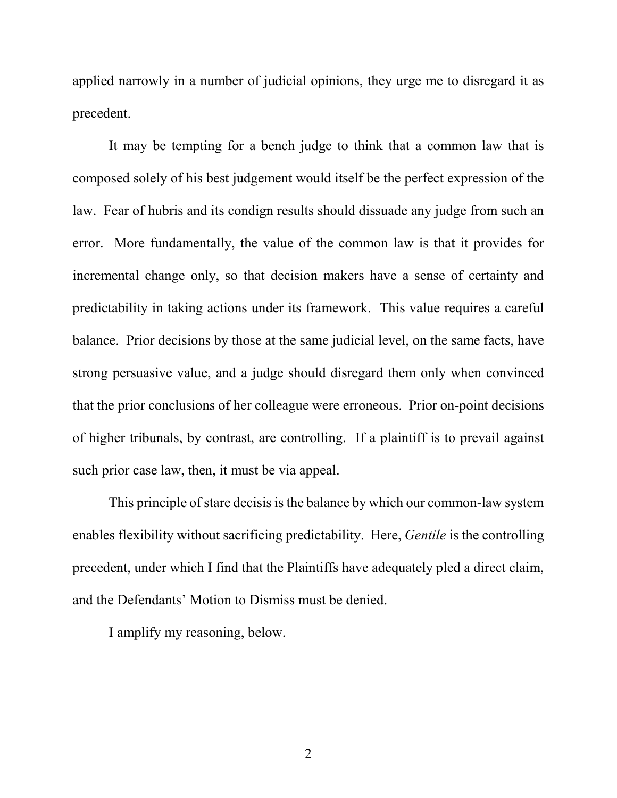applied narrowly in a number of judicial opinions, they urge me to disregard it as precedent.

It may be tempting for a bench judge to think that a common law that is composed solely of his best judgement would itself be the perfect expression of the law. Fear of hubris and its condign results should dissuade any judge from such an error. More fundamentally, the value of the common law is that it provides for incremental change only, so that decision makers have a sense of certainty and predictability in taking actions under its framework. This value requires a careful balance. Prior decisions by those at the same judicial level, on the same facts, have strong persuasive value, and a judge should disregard them only when convinced that the prior conclusions of her colleague were erroneous. Prior on-point decisions of higher tribunals, by contrast, are controlling. If a plaintiff is to prevail against such prior case law, then, it must be via appeal.

This principle of stare decisis is the balance by which our common-law system enables flexibility without sacrificing predictability. Here, *Gentile* is the controlling precedent, under which I find that the Plaintiffs have adequately pled a direct claim, and the Defendants' Motion to Dismiss must be denied.

I amplify my reasoning, below.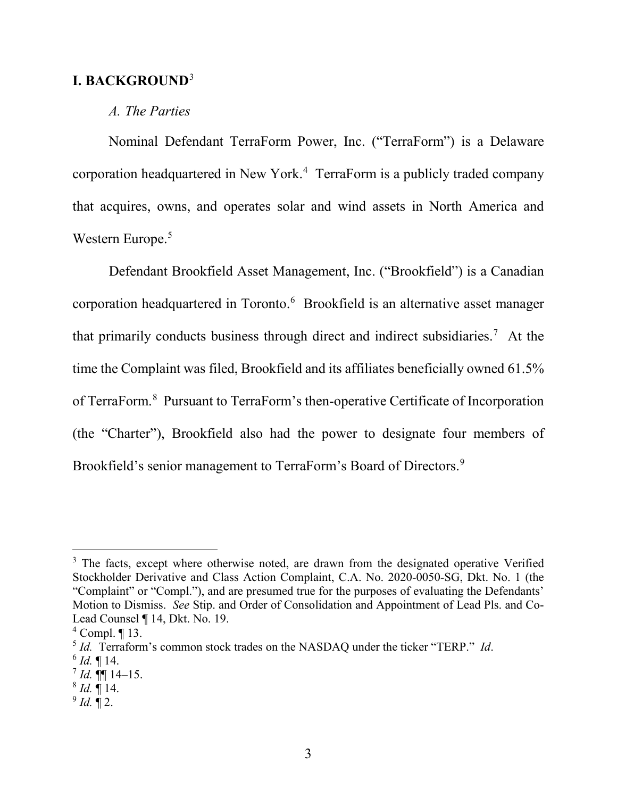### **I. BACKGROUND**<sup>3</sup>

### *A. The Parties*

Nominal Defendant TerraForm Power, Inc. ("TerraForm") is a Delaware corporation headquartered in New York. 4 TerraForm is a publicly traded company that acquires, owns, and operates solar and wind assets in North America and Western Europe.<sup>5</sup>

Defendant Brookfield Asset Management, Inc. ("Brookfield") is a Canadian corporation headquartered in Toronto.<sup>6</sup> Brookfield is an alternative asset manager that primarily conducts business through direct and indirect subsidiaries.<sup>7</sup> At the time the Complaint was filed, Brookfield and its affiliates beneficially owned 61.5% of TerraForm.<sup>8</sup> Pursuant to TerraForm's then-operative Certificate of Incorporation (the "Charter"), Brookfield also had the power to designate four members of Brookfield's senior management to TerraForm's Board of Directors.<sup>9</sup>

 $^{9}$  *Id.*  $\llbracket 2.$ 

<sup>&</sup>lt;sup>3</sup> The facts, except where otherwise noted, are drawn from the designated operative Verified Stockholder Derivative and Class Action Complaint, C.A. No. 2020-0050-SG, Dkt. No. 1 (the "Complaint" or "Compl."), and are presumed true for the purposes of evaluating the Defendants' Motion to Dismiss. *See* Stip. and Order of Consolidation and Appointment of Lead Pls. and Co-Lead Counsel ¶ 14, Dkt. No. 19.

 $4$  Compl.  $\P$  13.

<sup>5</sup> *Id.* Terraform's common stock trades on the NASDAQ under the ticker "TERP." *Id*.

 $^{6}$  *Id.* ¶ 14.

 $^7$  *Id.*  $\P\P$  14–15.

 $^{8}$  *Id.*  $\overline{9}$  14.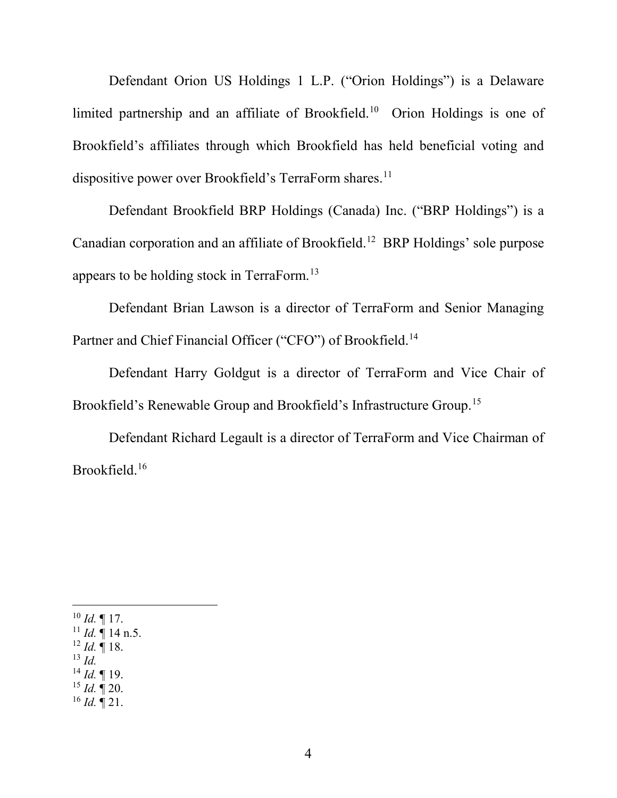Defendant Orion US Holdings 1 L.P. ("Orion Holdings") is a Delaware limited partnership and an affiliate of Brookfield.10 Orion Holdings is one of Brookfield's affiliates through which Brookfield has held beneficial voting and dispositive power over Brookfield's TerraForm shares.<sup>11</sup>

Defendant Brookfield BRP Holdings (Canada) Inc. ("BRP Holdings") is a Canadian corporation and an affiliate of Brookfield.12 BRP Holdings' sole purpose appears to be holding stock in TerraForm.13

Defendant Brian Lawson is a director of TerraForm and Senior Managing Partner and Chief Financial Officer ("CFO") of Brookfield.<sup>14</sup>

Defendant Harry Goldgut is a director of TerraForm and Vice Chair of Brookfield's Renewable Group and Brookfield's Infrastructure Group.15

Defendant Richard Legault is a director of TerraForm and Vice Chairman of Brookfield.16

 $^{10}$  *Id.* ¶ 17.  $11$  *Id.*  $\frac{1}{1}$  14 n.5.  $12$  *Id.* 18. <sup>13</sup> *Id.* <sup>14</sup> *Id.* ¶ 19.  $^{15}$  *Id.*  $\mathbb{I}$  20.  $^{16}$  *Id.*  $\P$  21.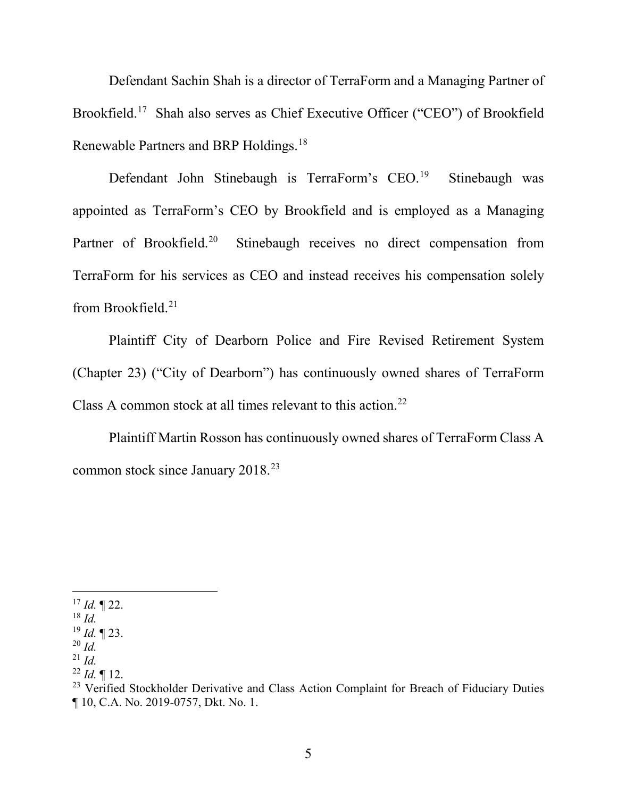Defendant Sachin Shah is a director of TerraForm and a Managing Partner of Brookfield.<sup>17</sup> Shah also serves as Chief Executive Officer ("CEO") of Brookfield Renewable Partners and BRP Holdings.18

Defendant John Stinebaugh is TerraForm's CEO.<sup>19</sup> Stinebaugh was appointed as TerraForm's CEO by Brookfield and is employed as a Managing Partner of Brookfield.<sup>20</sup> Stinebaugh receives no direct compensation from TerraForm for his services as CEO and instead receives his compensation solely from Brookfield. $21$ 

Plaintiff City of Dearborn Police and Fire Revised Retirement System (Chapter 23) ("City of Dearborn") has continuously owned shares of TerraForm Class A common stock at all times relevant to this action.<sup>22</sup>

Plaintiff Martin Rosson has continuously owned shares of TerraForm Class A common stock since January 2018.23

- <sup>20</sup> *Id.* <sup>21</sup> *Id.*
- $^{22}$  *Id.*  $\P$  12.

 $17$  *Id.*  $\P$  22.

<sup>18</sup> *Id.*

<sup>19</sup> *Id.* ¶ 23.

<sup>&</sup>lt;sup>23</sup> Verified Stockholder Derivative and Class Action Complaint for Breach of Fiduciary Duties ¶ 10, C.A. No. 2019-0757, Dkt. No. 1.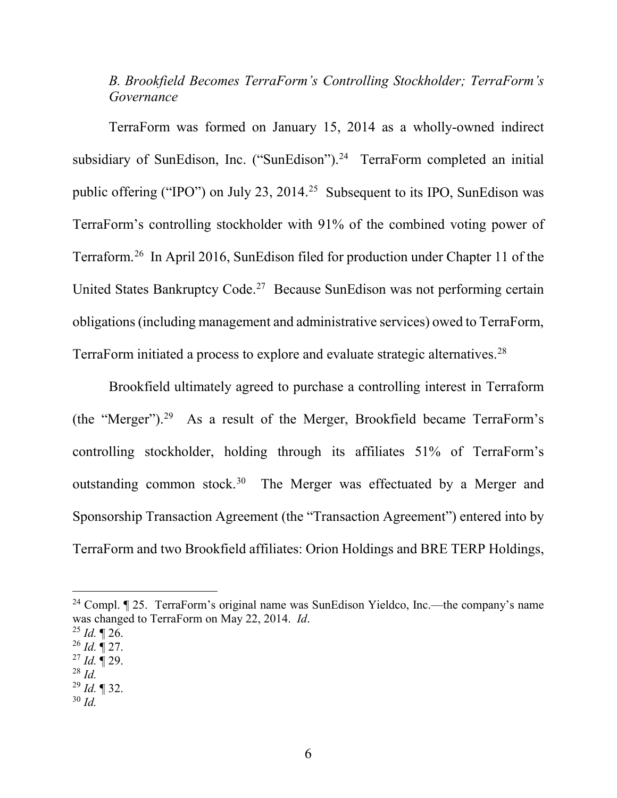## *B. Brookfield Becomes TerraForm's Controlling Stockholder; TerraForm's Governance*

TerraForm was formed on January 15, 2014 as a wholly-owned indirect subsidiary of SunEdison, Inc. ("SunEdison").<sup>24</sup> TerraForm completed an initial public offering ("IPO") on July 23, 2014.<sup>25</sup> Subsequent to its IPO, SunEdison was TerraForm's controlling stockholder with 91% of the combined voting power of Terraform.26 In April 2016, SunEdison filed for production under Chapter 11 of the United States Bankruptcy Code.<sup>27</sup> Because SunEdison was not performing certain obligations (including management and administrative services) owed to TerraForm, TerraForm initiated a process to explore and evaluate strategic alternatives.28

Brookfield ultimately agreed to purchase a controlling interest in Terraform (the "Merger"). 29 As a result of the Merger, Brookfield became TerraForm's controlling stockholder, holding through its affiliates 51% of TerraForm's outstanding common stock.<sup>30</sup> The Merger was effectuated by a Merger and Sponsorship Transaction Agreement (the "Transaction Agreement") entered into by TerraForm and two Brookfield affiliates: Orion Holdings and BRE TERP Holdings,

<sup>&</sup>lt;sup>24</sup> Compl.  $\P$  25. TerraForm's original name was SunEdison Yieldco, Inc.—the company's name was changed to TerraForm on May 22, 2014. *Id*.

 $^{25}$  *Id.*  $\blacksquare$  26.

<sup>26</sup> *Id.* ¶ 27.

<sup>27</sup> *Id.* ¶ 29.

<sup>28</sup> *Id.*

<sup>29</sup> *Id.* ¶ 32.

<sup>30</sup> *Id.*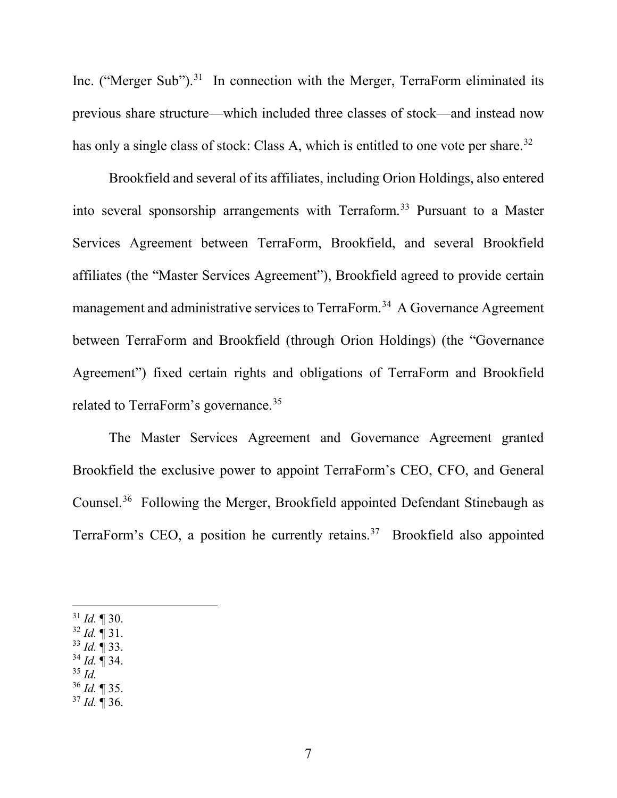Inc. ("Merger Sub").<sup>31</sup> In connection with the Merger, TerraForm eliminated its previous share structure—which included three classes of stock—and instead now has only a single class of stock: Class A, which is entitled to one vote per share.<sup>32</sup>

Brookfield and several of its affiliates, including Orion Holdings, also entered into several sponsorship arrangements with Terraform.<sup>33</sup> Pursuant to a Master Services Agreement between TerraForm, Brookfield, and several Brookfield affiliates (the "Master Services Agreement"), Brookfield agreed to provide certain management and administrative services to TerraForm.<sup>34</sup> A Governance Agreement between TerraForm and Brookfield (through Orion Holdings) (the "Governance Agreement") fixed certain rights and obligations of TerraForm and Brookfield related to TerraForm's governance.<sup>35</sup>

The Master Services Agreement and Governance Agreement granted Brookfield the exclusive power to appoint TerraForm's CEO, CFO, and General Counsel.36 Following the Merger, Brookfield appointed Defendant Stinebaugh as TerraForm's CEO, a position he currently retains.<sup>37</sup> Brookfield also appointed

 $31$  *Id.* 1 30.

- $32$  *Id.*  $\overline{9}$  31.
- <sup>33</sup> *Id.* ¶ 33. <sup>34</sup> *Id.* ¶ 34.
- <sup>35</sup> *Id.*
- <sup>36</sup> *Id.* ¶ 35.
- <sup>37</sup> *Id.* ¶ 36.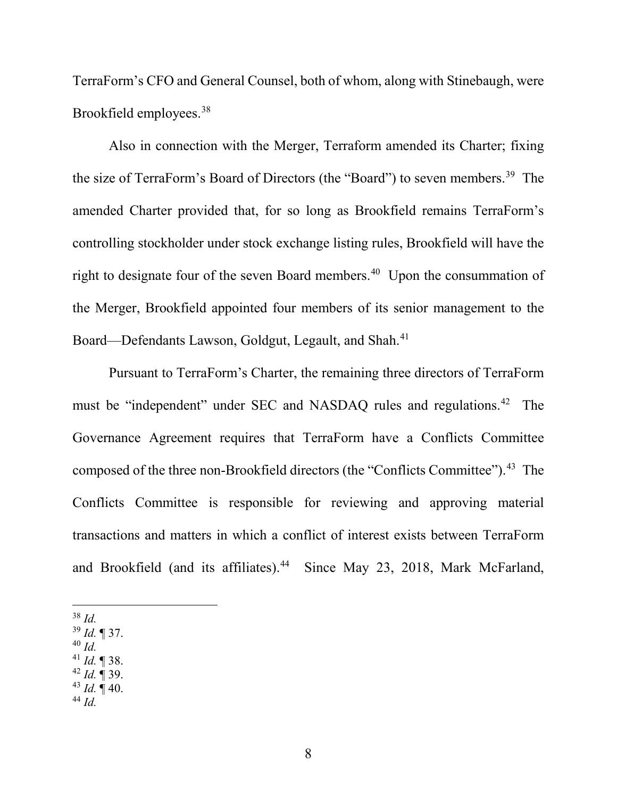TerraForm's CFO and General Counsel, both of whom, along with Stinebaugh, were Brookfield employees.38

Also in connection with the Merger, Terraform amended its Charter; fixing the size of TerraForm's Board of Directors (the "Board") to seven members.<sup>39</sup> The amended Charter provided that, for so long as Brookfield remains TerraForm's controlling stockholder under stock exchange listing rules, Brookfield will have the right to designate four of the seven Board members.<sup>40</sup> Upon the consummation of the Merger, Brookfield appointed four members of its senior management to the Board—Defendants Lawson, Goldgut, Legault, and Shah.<sup>41</sup>

Pursuant to TerraForm's Charter, the remaining three directors of TerraForm must be "independent" under SEC and NASDAQ rules and regulations.<sup>42</sup> The Governance Agreement requires that TerraForm have a Conflicts Committee composed of the three non-Brookfield directors (the "Conflicts Committee").<sup>43</sup> The Conflicts Committee is responsible for reviewing and approving material transactions and matters in which a conflict of interest exists between TerraForm and Brookfield (and its affiliates).<sup>44</sup> Since May 23, 2018, Mark McFarland,

38 *Id.*

- <sup>39</sup> *Id.* ¶ 37.
- <sup>40</sup> *Id.*
- <sup>41</sup> *Id.* ¶ 38.
- <sup>42</sup> *Id.* ¶ 39.
- $43$  *Id.*  $\overline{9}$  40.
- <sup>44</sup> *Id.*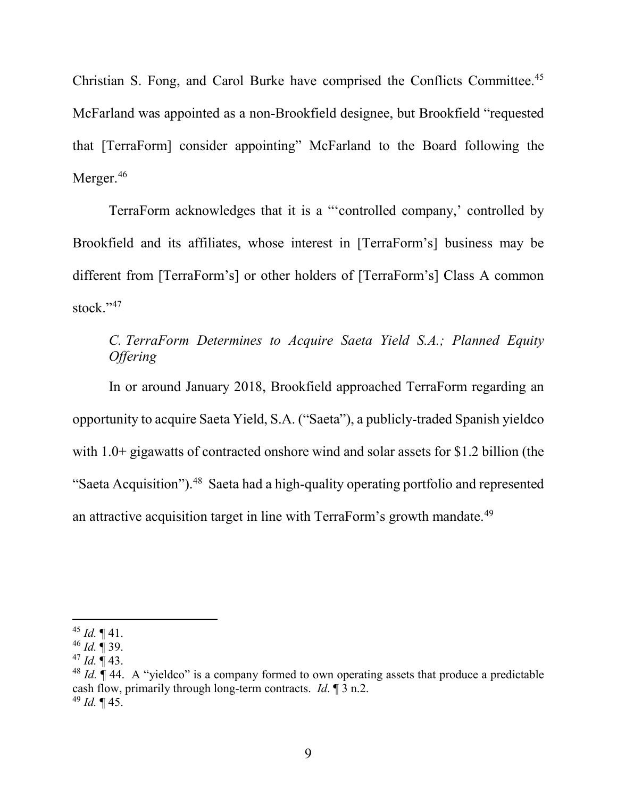Christian S. Fong, and Carol Burke have comprised the Conflicts Committee.45 McFarland was appointed as a non-Brookfield designee, but Brookfield "requested that [TerraForm] consider appointing" McFarland to the Board following the Merger.<sup>46</sup>

TerraForm acknowledges that it is a "'controlled company,' controlled by Brookfield and its affiliates, whose interest in [TerraForm's] business may be different from [TerraForm's] or other holders of [TerraForm's] Class A common stock."<sup>47</sup>

## *C. TerraForm Determines to Acquire Saeta Yield S.A.; Planned Equity Offering*

In or around January 2018, Brookfield approached TerraForm regarding an opportunity to acquire Saeta Yield, S.A. ("Saeta"), a publicly-traded Spanish yieldco with 1.0+ gigawatts of contracted onshore wind and solar assets for \$1.2 billion (the "Saeta Acquisition").<sup>48</sup> Saeta had a high-quality operating portfolio and represented an attractive acquisition target in line with TerraForm's growth mandate.<sup>49</sup>

 $45$  *Id.*  $\P$  41.

<sup>46</sup> *Id.* ¶ 39.

 $47$  *Id.*  $\P$  43.

<sup>&</sup>lt;sup>48</sup> *Id.*  $\parallel$  44. A "yieldco" is a company formed to own operating assets that produce a predictable cash flow, primarily through long-term contracts. *Id*. ¶ 3 n.2. <sup>49</sup> *Id.* ¶ 45.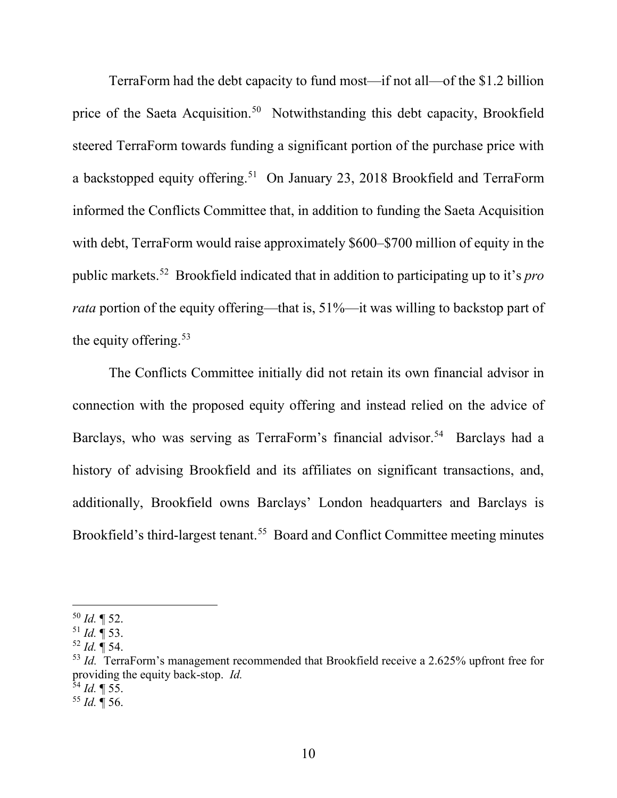TerraForm had the debt capacity to fund most—if not all—of the \$1.2 billion price of the Saeta Acquisition.<sup>50</sup> Notwithstanding this debt capacity, Brookfield steered TerraForm towards funding a significant portion of the purchase price with a backstopped equity offering.<sup>51</sup> On January 23, 2018 Brookfield and TerraForm informed the Conflicts Committee that, in addition to funding the Saeta Acquisition with debt, TerraForm would raise approximately \$600–\$700 million of equity in the public markets.52 Brookfield indicated that in addition to participating up to it's *pro rata* portion of the equity offering—that is, 51%—it was willing to backstop part of the equity offering.  $53$ 

The Conflicts Committee initially did not retain its own financial advisor in connection with the proposed equity offering and instead relied on the advice of Barclays, who was serving as TerraForm's financial advisor.<sup>54</sup> Barclays had a history of advising Brookfield and its affiliates on significant transactions, and, additionally, Brookfield owns Barclays' London headquarters and Barclays is Brookfield's third-largest tenant.<sup>55</sup> Board and Conflict Committee meeting minutes

 $50$  *Id.*  $\blacksquare$  52.

 $^{51}$  *Id.*  $\overline{9}$  53.

<sup>52</sup> *Id.* ¶ 54.

<sup>&</sup>lt;sup>53</sup> *Id.* TerraForm's management recommended that Brookfield receive a 2.625% upfront free for providing the equity back-stop. *Id.*

<sup>54</sup> *Id.* ¶ 55.

<sup>55</sup> *Id.* ¶ 56.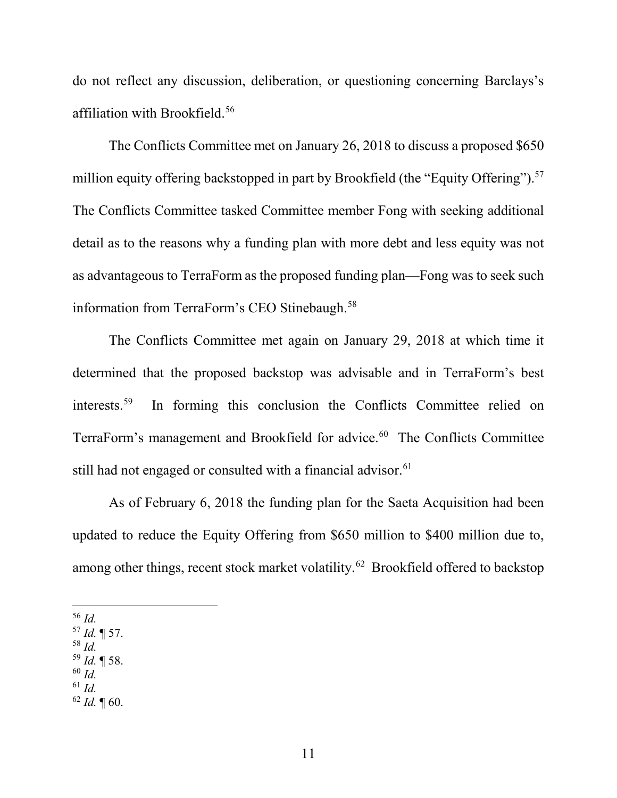do not reflect any discussion, deliberation, or questioning concerning Barclays's affiliation with Brookfield.56

The Conflicts Committee met on January 26, 2018 to discuss a proposed \$650 million equity offering backstopped in part by Brookfield (the "Equity Offering").<sup>57</sup> The Conflicts Committee tasked Committee member Fong with seeking additional detail as to the reasons why a funding plan with more debt and less equity was not as advantageous to TerraForm as the proposed funding plan—Fong was to seek such information from TerraForm's CEO Stinebaugh.<sup>58</sup>

The Conflicts Committee met again on January 29, 2018 at which time it determined that the proposed backstop was advisable and in TerraForm's best interests.59 In forming this conclusion the Conflicts Committee relied on TerraForm's management and Brookfield for advice.<sup>60</sup> The Conflicts Committee still had not engaged or consulted with a financial advisor.<sup>61</sup>

As of February 6, 2018 the funding plan for the Saeta Acquisition had been updated to reduce the Equity Offering from \$650 million to \$400 million due to, among other things, recent stock market volatility.<sup>62</sup> Brookfield offered to backstop

56 *Id.*

- <sup>57</sup> *Id.* ¶ 57.
- <sup>58</sup> *Id.*
- <sup>59</sup> *Id.* ¶ 58. <sup>60</sup> *Id.*
- <sup>61</sup> *Id.*
- $62$  *Id.*  $\text{\degree}$  60.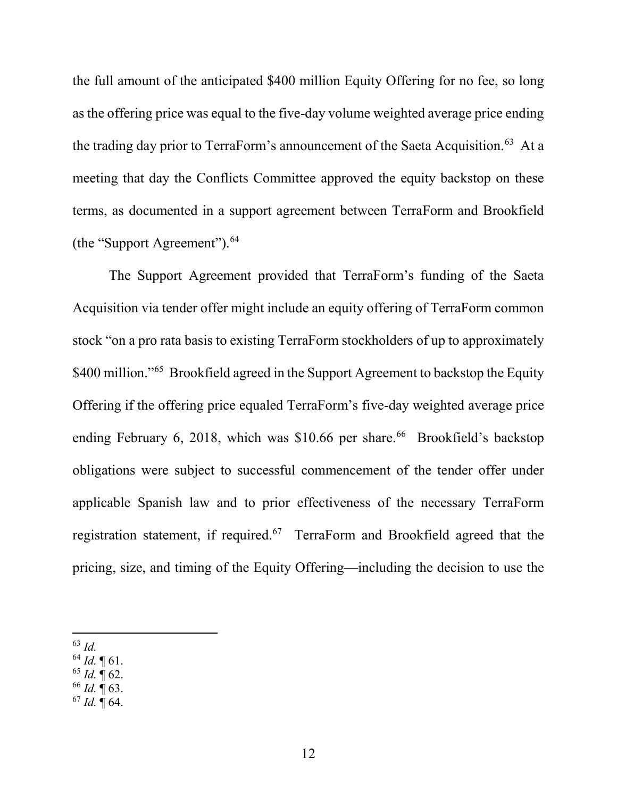the full amount of the anticipated \$400 million Equity Offering for no fee, so long as the offering price was equal to the five-day volume weighted average price ending the trading day prior to TerraForm's announcement of the Saeta Acquisition.<sup>63</sup> At a meeting that day the Conflicts Committee approved the equity backstop on these terms, as documented in a support agreement between TerraForm and Brookfield (the "Support Agreement").64

The Support Agreement provided that TerraForm's funding of the Saeta Acquisition via tender offer might include an equity offering of TerraForm common stock "on a pro rata basis to existing TerraForm stockholders of up to approximately \$400 million."<sup>65</sup> Brookfield agreed in the Support Agreement to backstop the Equity Offering if the offering price equaled TerraForm's five-day weighted average price ending February 6, 2018, which was  $$10.66$  per share.<sup>66</sup> Brookfield's backstop obligations were subject to successful commencement of the tender offer under applicable Spanish law and to prior effectiveness of the necessary TerraForm registration statement, if required.<sup>67</sup> TerraForm and Brookfield agreed that the pricing, size, and timing of the Equity Offering—including the decision to use the

- <sup>64</sup> *Id.* ¶ 61.
- $65$  *Id.*  $\P$  62.
- <sup>66</sup> *Id.* ¶ 63.
- <sup>67</sup> *Id.* ¶ 64.

 <sup>63</sup> *Id.*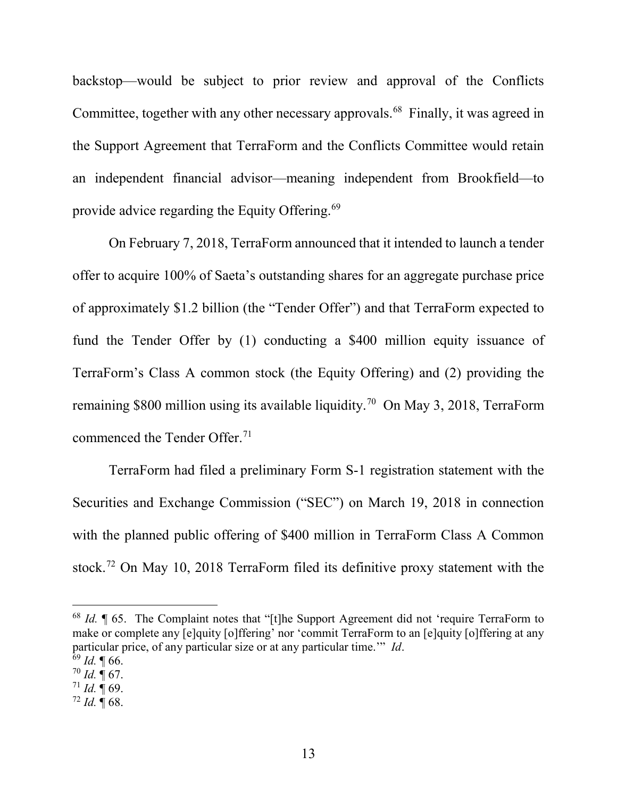backstop—would be subject to prior review and approval of the Conflicts Committee, together with any other necessary approvals.<sup>68</sup> Finally, it was agreed in the Support Agreement that TerraForm and the Conflicts Committee would retain an independent financial advisor—meaning independent from Brookfield—to provide advice regarding the Equity Offering.69

On February 7, 2018, TerraForm announced that it intended to launch a tender offer to acquire 100% of Saeta's outstanding shares for an aggregate purchase price of approximately \$1.2 billion (the "Tender Offer") and that TerraForm expected to fund the Tender Offer by (1) conducting a \$400 million equity issuance of TerraForm's Class A common stock (the Equity Offering) and (2) providing the remaining \$800 million using its available liquidity. 70 On May 3, 2018, TerraForm commenced the Tender Offer.<sup>71</sup>

TerraForm had filed a preliminary Form S-1 registration statement with the Securities and Exchange Commission ("SEC") on March 19, 2018 in connection with the planned public offering of \$400 million in TerraForm Class A Common stock.72 On May 10, 2018 TerraForm filed its definitive proxy statement with the

<sup>72</sup> *Id.* ¶ 68.

<sup>&</sup>lt;sup>68</sup> *Id.*  $\parallel$  65. The Complaint notes that "[t]he Support Agreement did not 'require TerraForm to make or complete any [e]quity [o]ffering' nor 'commit TerraForm to an [e]quity [o]ffering at any particular price, of any particular size or at any particular time.'" *Id*.

 $69$  *Id.* 166.

 $70$  *Id.*  $\sqrt{ }$  67.

 $^{71}$  *Id.*  $\overline{9}$  69.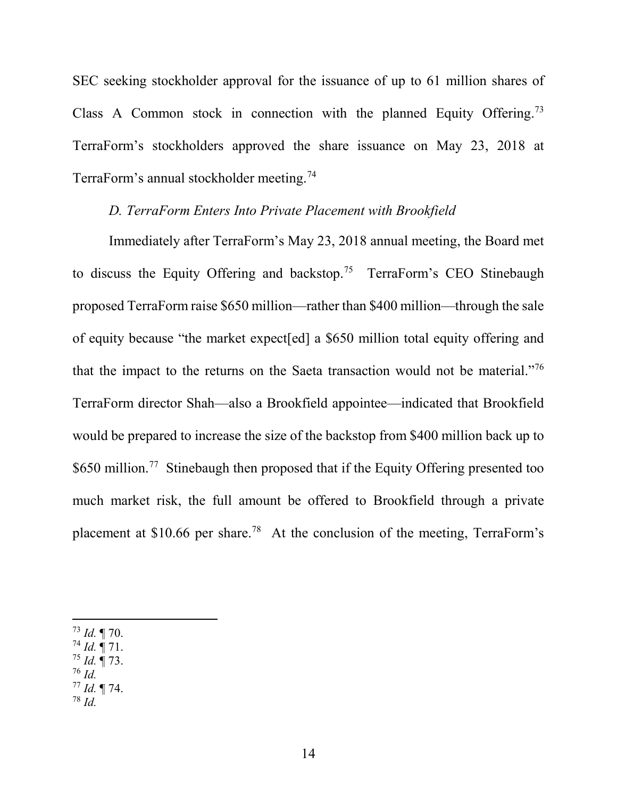SEC seeking stockholder approval for the issuance of up to 61 million shares of Class A Common stock in connection with the planned Equity Offering.73 TerraForm's stockholders approved the share issuance on May 23, 2018 at TerraForm's annual stockholder meeting.<sup>74</sup>

## *D. TerraForm Enters Into Private Placement with Brookfield*

Immediately after TerraForm's May 23, 2018 annual meeting, the Board met to discuss the Equity Offering and backstop.<sup>75</sup> TerraForm's CEO Stinebaugh proposed TerraForm raise \$650 million—rather than \$400 million—through the sale of equity because "the market expect[ed] a \$650 million total equity offering and that the impact to the returns on the Saeta transaction would not be material."76 TerraForm director Shah—also a Brookfield appointee—indicated that Brookfield would be prepared to increase the size of the backstop from \$400 million back up to \$650 million.<sup>77</sup> Stinebaugh then proposed that if the Equity Offering presented too much market risk, the full amount be offered to Brookfield through a private placement at \$10.66 per share.78 At the conclusion of the meeting, TerraForm's

- <sup>74</sup> *Id.* ¶ 71.
- <sup>75</sup> *Id.* ¶ 73.
- <sup>76</sup> *Id.*  $^{77}$  *Id.* ¶ 74.
- <sup>78</sup> *Id.*

 <sup>73</sup> *Id.* ¶ 70.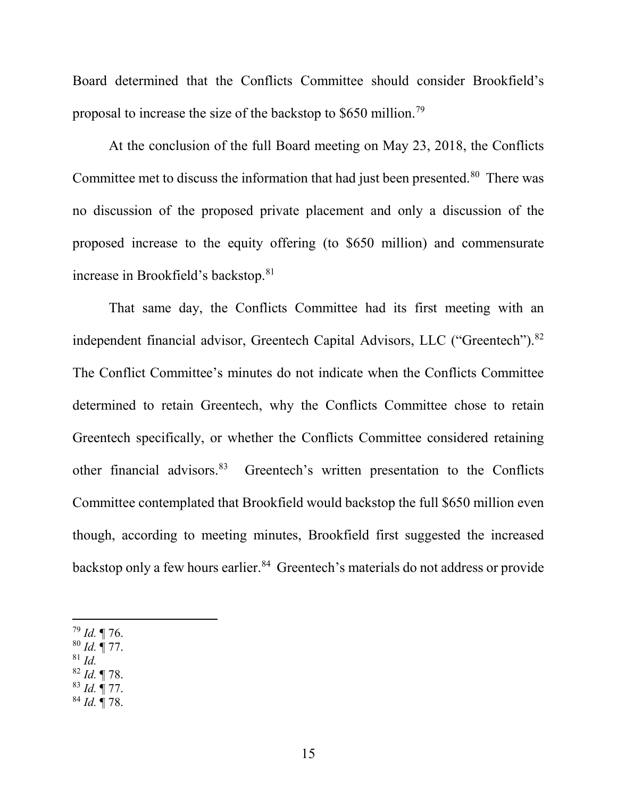Board determined that the Conflicts Committee should consider Brookfield's proposal to increase the size of the backstop to \$650 million.79

At the conclusion of the full Board meeting on May 23, 2018, the Conflicts Committee met to discuss the information that had just been presented.<sup>80</sup> There was no discussion of the proposed private placement and only a discussion of the proposed increase to the equity offering (to \$650 million) and commensurate increase in Brookfield's backstop.81

That same day, the Conflicts Committee had its first meeting with an independent financial advisor, Greentech Capital Advisors, LLC ("Greentech").<sup>82</sup> The Conflict Committee's minutes do not indicate when the Conflicts Committee determined to retain Greentech, why the Conflicts Committee chose to retain Greentech specifically, or whether the Conflicts Committee considered retaining other financial advisors.83 Greentech's written presentation to the Conflicts Committee contemplated that Brookfield would backstop the full \$650 million even though, according to meeting minutes, Brookfield first suggested the increased backstop only a few hours earlier.<sup>84</sup> Greentech's materials do not address or provide

- <sup>80</sup> *Id.* ¶ 77.
- <sup>81</sup> *Id.*
- <sup>82</sup> *Id.* ¶ 78. <sup>83</sup> *Id.* ¶ 77.
- <sup>84</sup> *Id.* ¶ 78.

 <sup>79</sup> *Id.* ¶ 76.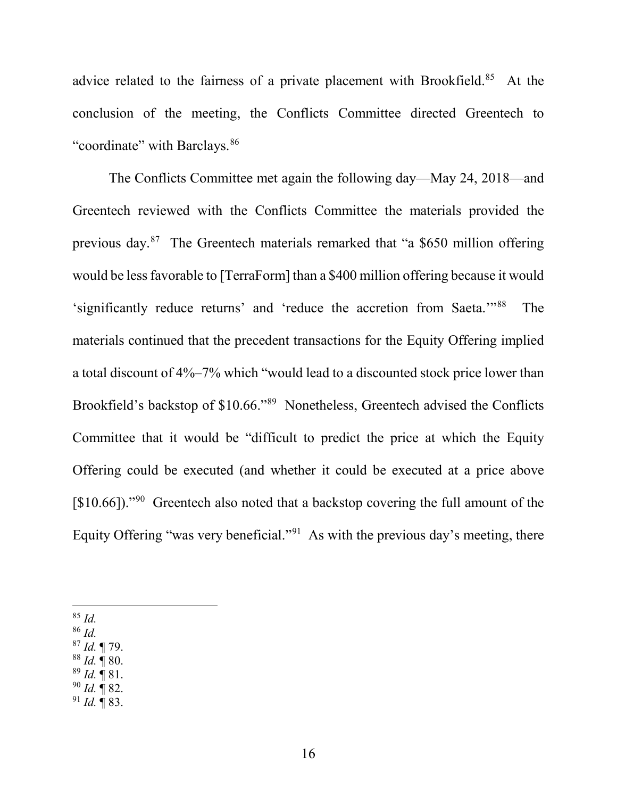advice related to the fairness of a private placement with Brookfield.<sup>85</sup> At the conclusion of the meeting, the Conflicts Committee directed Greentech to "coordinate" with Barclays.<sup>86</sup>

The Conflicts Committee met again the following day—May 24, 2018—and Greentech reviewed with the Conflicts Committee the materials provided the previous day.87 The Greentech materials remarked that "a \$650 million offering would be less favorable to [TerraForm] than a \$400 million offering because it would 'significantly reduce returns' and 'reduce the accretion from Saeta.'"88 The materials continued that the precedent transactions for the Equity Offering implied a total discount of 4%–7% which "would lead to a discounted stock price lower than Brookfield's backstop of \$10.66."89 Nonetheless, Greentech advised the Conflicts Committee that it would be "difficult to predict the price at which the Equity Offering could be executed (and whether it could be executed at a price above [\$10.66])."<sup>90</sup> Greentech also noted that a backstop covering the full amount of the Equity Offering "was very beneficial."<sup>91</sup> As with the previous day's meeting, there

85 *Id.*

<sup>86</sup> *Id.*

<sup>87</sup> *Id.* ¶ 79.

<sup>88</sup> *Id.* ¶ 80.

- <sup>89</sup> *Id.* ¶ 81.
- <sup>90</sup> *Id.* ¶ 82.
- <sup>91</sup> *Id.* ¶ 83.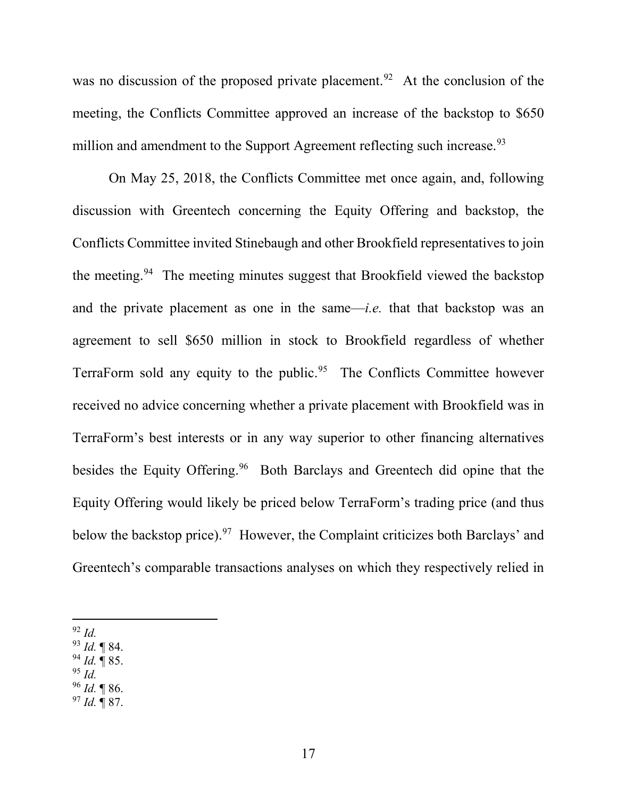was no discussion of the proposed private placement.<sup>92</sup> At the conclusion of the meeting, the Conflicts Committee approved an increase of the backstop to \$650 million and amendment to the Support Agreement reflecting such increase.<sup>93</sup>

On May 25, 2018, the Conflicts Committee met once again, and, following discussion with Greentech concerning the Equity Offering and backstop, the Conflicts Committee invited Stinebaugh and other Brookfield representatives to join the meeting.<sup>94</sup> The meeting minutes suggest that Brookfield viewed the backstop and the private placement as one in the same—*i.e.* that that backstop was an agreement to sell \$650 million in stock to Brookfield regardless of whether TerraForm sold any equity to the public.<sup>95</sup> The Conflicts Committee however received no advice concerning whether a private placement with Brookfield was in TerraForm's best interests or in any way superior to other financing alternatives besides the Equity Offering.<sup>96</sup> Both Barclays and Greentech did opine that the Equity Offering would likely be priced below TerraForm's trading price (and thus below the backstop price).<sup>97</sup> However, the Complaint criticizes both Barclays' and Greentech's comparable transactions analyses on which they respectively relied in

- <sup>94</sup> *Id.* ¶ 85.
- <sup>95</sup> *Id.*
- <sup>96</sup> *Id.* ¶ 86.
- <sup>97</sup> *Id.* ¶ 87.

 <sup>92</sup> *Id.*

<sup>93</sup> *Id.* ¶ 84.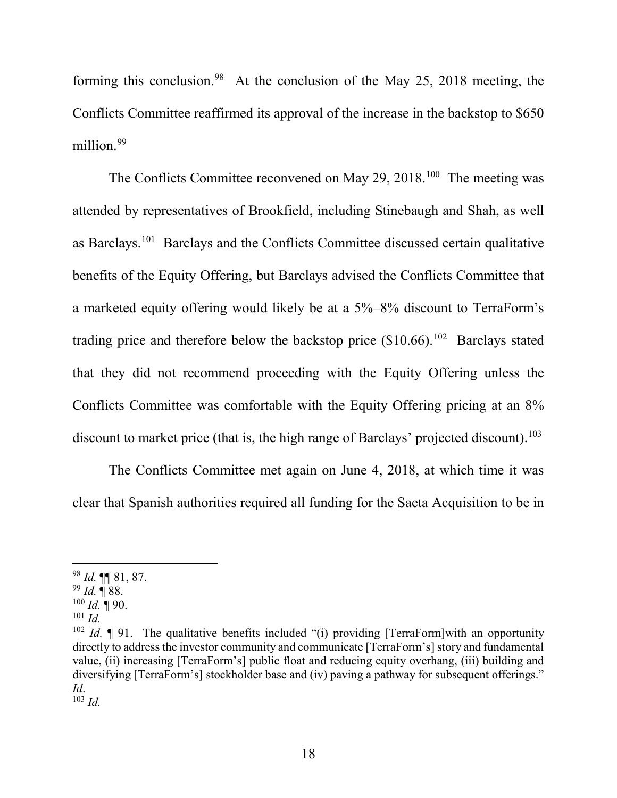forming this conclusion.<sup>98</sup> At the conclusion of the May 25, 2018 meeting, the Conflicts Committee reaffirmed its approval of the increase in the backstop to \$650 million.<sup>99</sup>

The Conflicts Committee reconvened on May 29, 2018.<sup>100</sup> The meeting was attended by representatives of Brookfield, including Stinebaugh and Shah, as well as Barclays.101 Barclays and the Conflicts Committee discussed certain qualitative benefits of the Equity Offering, but Barclays advised the Conflicts Committee that a marketed equity offering would likely be at a 5%–8% discount to TerraForm's trading price and therefore below the backstop price  $(\$10.66)$ .<sup>102</sup> Barclays stated that they did not recommend proceeding with the Equity Offering unless the Conflicts Committee was comfortable with the Equity Offering pricing at an 8% discount to market price (that is, the high range of Barclays' projected discount).<sup>103</sup>

The Conflicts Committee met again on June 4, 2018, at which time it was clear that Spanish authorities required all funding for the Saeta Acquisition to be in

 <sup>98</sup> *Id.* ¶¶ 81, 87.

<sup>99</sup> *Id.* ¶ 88.

 $100$  *Id.*  $\P$  90.

<sup>101</sup> *Id.*

<sup>&</sup>lt;sup>102</sup> *Id.*  $\parallel$  91. The qualitative benefits included "(i) providing [TerraForm]with an opportunity directly to address the investor community and communicate [TerraForm's] story and fundamental value, (ii) increasing [TerraForm's] public float and reducing equity overhang, (iii) building and diversifying [TerraForm's] stockholder base and (iv) paving a pathway for subsequent offerings." *Id*.

<sup>103</sup> *Id.*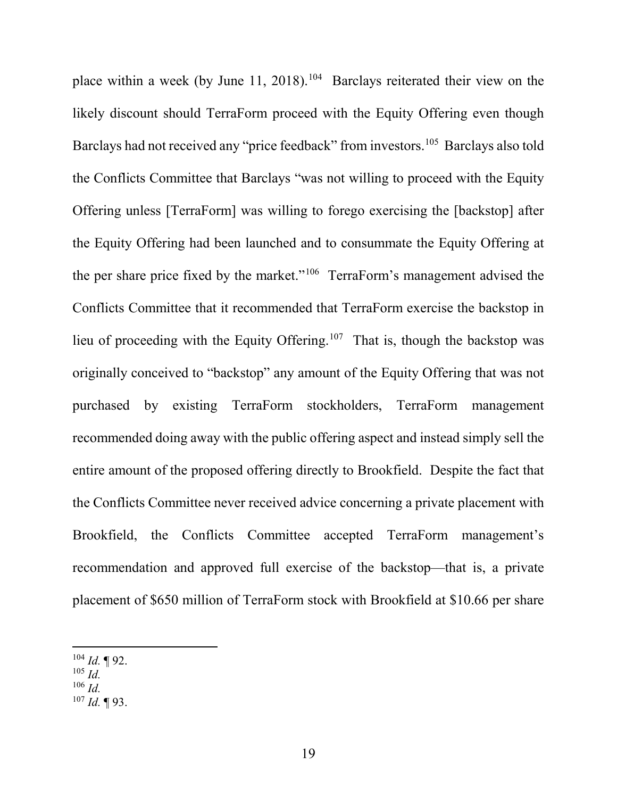place within a week (by June 11, 2018).<sup>104</sup> Barclays reiterated their view on the likely discount should TerraForm proceed with the Equity Offering even though Barclays had not received any "price feedback" from investors.<sup>105</sup> Barclays also told the Conflicts Committee that Barclays "was not willing to proceed with the Equity Offering unless [TerraForm] was willing to forego exercising the [backstop] after the Equity Offering had been launched and to consummate the Equity Offering at the per share price fixed by the market."106 TerraForm's management advised the Conflicts Committee that it recommended that TerraForm exercise the backstop in lieu of proceeding with the Equity Offering.<sup>107</sup> That is, though the backstop was originally conceived to "backstop" any amount of the Equity Offering that was not purchased by existing TerraForm stockholders, TerraForm management recommended doing away with the public offering aspect and instead simply sell the entire amount of the proposed offering directly to Brookfield. Despite the fact that the Conflicts Committee never received advice concerning a private placement with Brookfield, the Conflicts Committee accepted TerraForm management's recommendation and approved full exercise of the backstop—that is, a private placement of \$650 million of TerraForm stock with Brookfield at \$10.66 per share

- $105$  *Id.*
- <sup>106</sup> *Id.*
- <sup>107</sup> *Id.* ¶ 93.

 <sup>104</sup> *Id.* ¶ 92.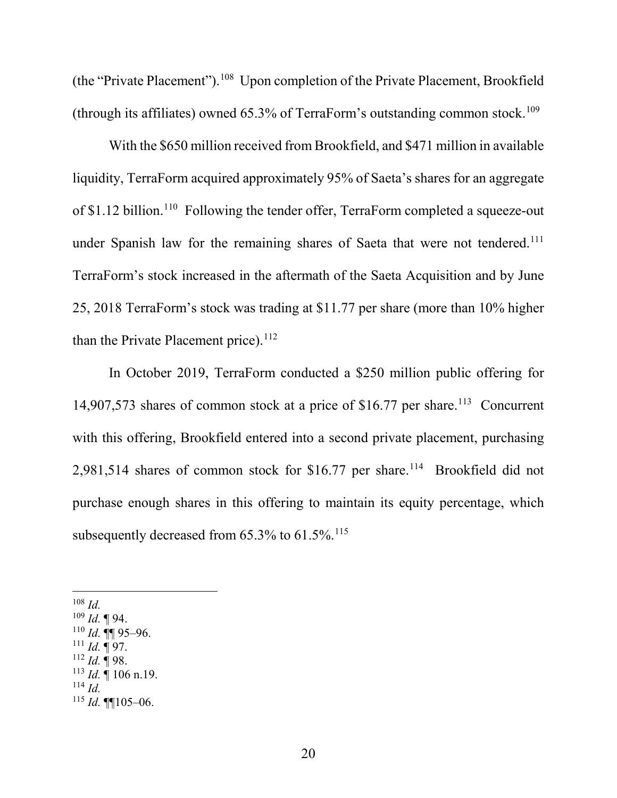(the "Private Placement").108 Upon completion of the Private Placement, Brookfield (through its affiliates) owned  $65.3\%$  of TerraForm's outstanding common stock.<sup>109</sup>

With the \$650 million received from Brookfield, and \$471 million in available liquidity, TerraForm acquired approximately 95% of Saeta's shares for an aggregate of \$1.12 billion.<sup>110</sup> Following the tender offer, TerraForm completed a squeeze-out under Spanish law for the remaining shares of Saeta that were not tendered.<sup>111</sup> TerraForm's stock increased in the aftermath of the Saeta Acquisition and by June 25, 2018 TerraForm's stock was trading at \$11.77 per share (more than 10% higher than the Private Placement price). $112$ 

In October 2019, TerraForm conducted a \$250 million public offering for 14,907,573 shares of common stock at a price of  $$16.77$  per share.<sup>113</sup> Concurrent with this offering, Brookfield entered into a second private placement, purchasing 2,981,514 shares of common stock for \$16.77 per share.<sup>114</sup> Brookfield did not purchase enough shares in this offering to maintain its equity percentage, which subsequently decreased from 65.3% to 61.5%.<sup>115</sup>

- $111$  *Id.* ¶ 97.
- <sup>112</sup> *Id.* ¶ 98.

<sup>114</sup> *Id.*

 <sup>108</sup> *Id.*

 $109$  *Id.* 194.

 $110$  *Id.* **¶** 95–96.

<sup>113</sup> *Id.* ¶ 106 n.19.

<sup>115</sup> *Id.* ¶¶105–06.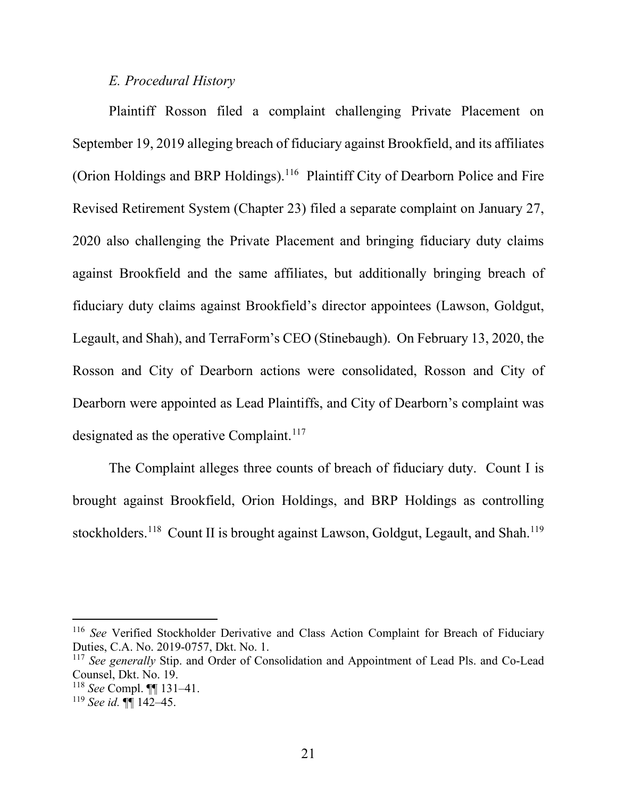### *E. Procedural History*

Plaintiff Rosson filed a complaint challenging Private Placement on September 19, 2019 alleging breach of fiduciary against Brookfield, and its affiliates (Orion Holdings and BRP Holdings).<sup>116</sup> Plaintiff City of Dearborn Police and Fire Revised Retirement System (Chapter 23) filed a separate complaint on January 27, 2020 also challenging the Private Placement and bringing fiduciary duty claims against Brookfield and the same affiliates, but additionally bringing breach of fiduciary duty claims against Brookfield's director appointees (Lawson, Goldgut, Legault, and Shah), and TerraForm's CEO (Stinebaugh). On February 13, 2020, the Rosson and City of Dearborn actions were consolidated, Rosson and City of Dearborn were appointed as Lead Plaintiffs, and City of Dearborn's complaint was designated as the operative Complaint.<sup>117</sup>

The Complaint alleges three counts of breach of fiduciary duty. Count I is brought against Brookfield, Orion Holdings, and BRP Holdings as controlling stockholders.<sup>118</sup> Count II is brought against Lawson, Goldgut, Legault, and Shah.<sup>119</sup>

 <sup>116</sup> *See* Verified Stockholder Derivative and Class Action Complaint for Breach of Fiduciary Duties, C.A. No. 2019-0757, Dkt. No. 1.

<sup>&</sup>lt;sup>117</sup> See generally Stip. and Order of Consolidation and Appointment of Lead Pls. and Co-Lead Counsel, Dkt. No. 19.

<sup>118</sup> *See* Compl. ¶¶ 131–41.

<sup>119</sup> *See id.* ¶¶ 142–45.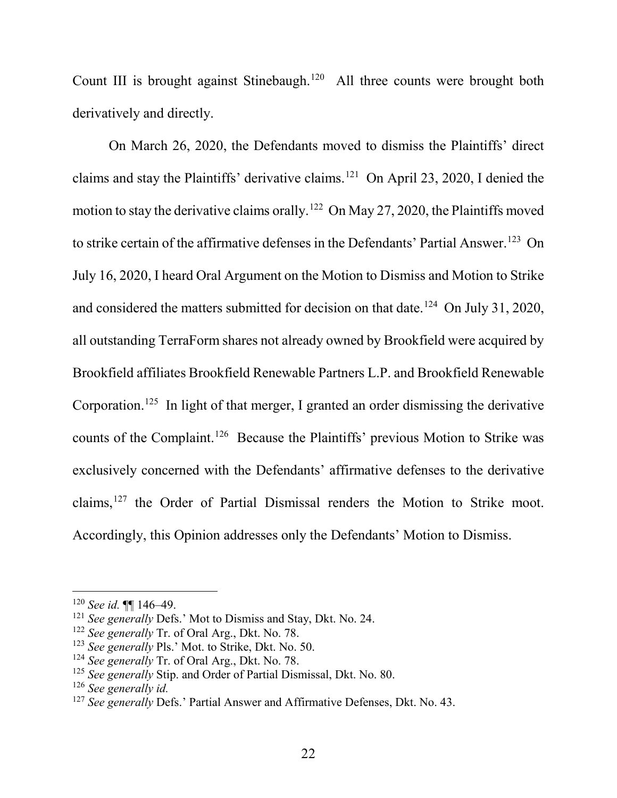Count III is brought against Stinebaugh.<sup>120</sup> All three counts were brought both derivatively and directly.

On March 26, 2020, the Defendants moved to dismiss the Plaintiffs' direct claims and stay the Plaintiffs' derivative claims.<sup>121</sup> On April 23, 2020, I denied the motion to stay the derivative claims orally.<sup>122</sup> On May 27, 2020, the Plaintiffs moved to strike certain of the affirmative defenses in the Defendants' Partial Answer.<sup>123</sup> On July 16, 2020, I heard Oral Argument on the Motion to Dismiss and Motion to Strike and considered the matters submitted for decision on that date.<sup>124</sup> On July 31, 2020, all outstanding TerraForm shares not already owned by Brookfield were acquired by Brookfield affiliates Brookfield Renewable Partners L.P. and Brookfield Renewable Corporation.<sup>125</sup> In light of that merger, I granted an order dismissing the derivative counts of the Complaint.126 Because the Plaintiffs' previous Motion to Strike was exclusively concerned with the Defendants' affirmative defenses to the derivative claims,127 the Order of Partial Dismissal renders the Motion to Strike moot. Accordingly, this Opinion addresses only the Defendants' Motion to Dismiss.

 <sup>120</sup> *See id.* ¶¶ 146–49.

<sup>&</sup>lt;sup>121</sup> *See generally* Defs.' Mot to Dismiss and Stay, Dkt. No. 24.

<sup>122</sup> *See generally* Tr. of Oral Arg., Dkt. No. 78.

<sup>123</sup> *See generally* Pls.' Mot. to Strike, Dkt. No. 50.

<sup>124</sup> *See generally* Tr. of Oral Arg., Dkt. No. 78.

<sup>&</sup>lt;sup>125</sup> See generally Stip. and Order of Partial Dismissal, Dkt. No. 80.

<sup>126</sup> *See generally id.*

<sup>&</sup>lt;sup>127</sup> See generally Defs.' Partial Answer and Affirmative Defenses, Dkt. No. 43.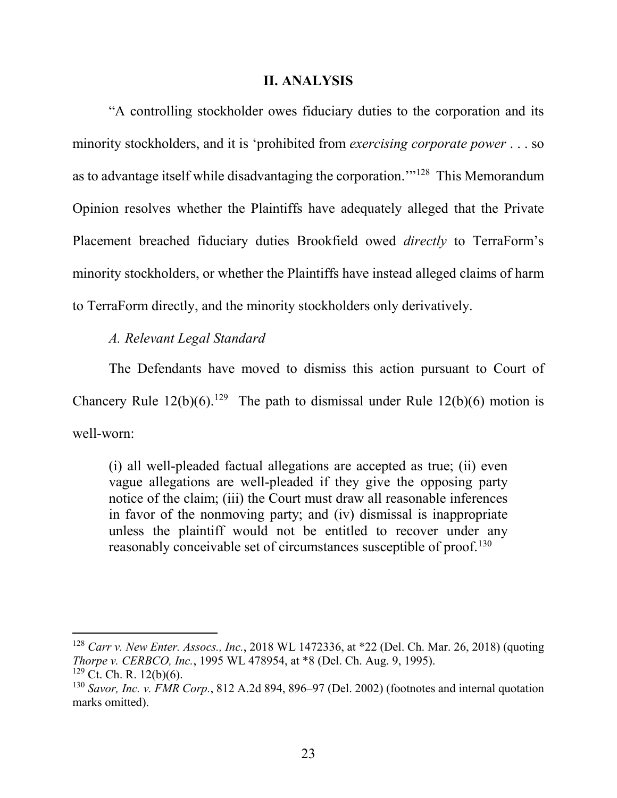#### **II. ANALYSIS**

"A controlling stockholder owes fiduciary duties to the corporation and its minority stockholders, and it is 'prohibited from *exercising corporate power* . . . so as to advantage itself while disadvantaging the corporation.'"128 This Memorandum Opinion resolves whether the Plaintiffs have adequately alleged that the Private Placement breached fiduciary duties Brookfield owed *directly* to TerraForm's minority stockholders, or whether the Plaintiffs have instead alleged claims of harm to TerraForm directly, and the minority stockholders only derivatively.

### *A. Relevant Legal Standard*

The Defendants have moved to dismiss this action pursuant to Court of Chancery Rule  $12(b)(6)$ .<sup>129</sup> The path to dismissal under Rule  $12(b)(6)$  motion is well-worn:

(i) all well-pleaded factual allegations are accepted as true; (ii) even vague allegations are well-pleaded if they give the opposing party notice of the claim; (iii) the Court must draw all reasonable inferences in favor of the nonmoving party; and (iv) dismissal is inappropriate unless the plaintiff would not be entitled to recover under any reasonably conceivable set of circumstances susceptible of proof.<sup>130</sup>

 <sup>128</sup> *Carr v. New Enter. Assocs., Inc.*, 2018 WL 1472336, at \*22 (Del. Ch. Mar. 26, 2018) (quoting *Thorpe v. CERBCO, Inc.*, 1995 WL 478954, at \*8 (Del. Ch. Aug. 9, 1995).

 $129$  Ct. Ch. R. 12(b)(6).

<sup>130</sup> *Savor, Inc. v. FMR Corp.*, 812 A.2d 894, 896–97 (Del. 2002) (footnotes and internal quotation marks omitted).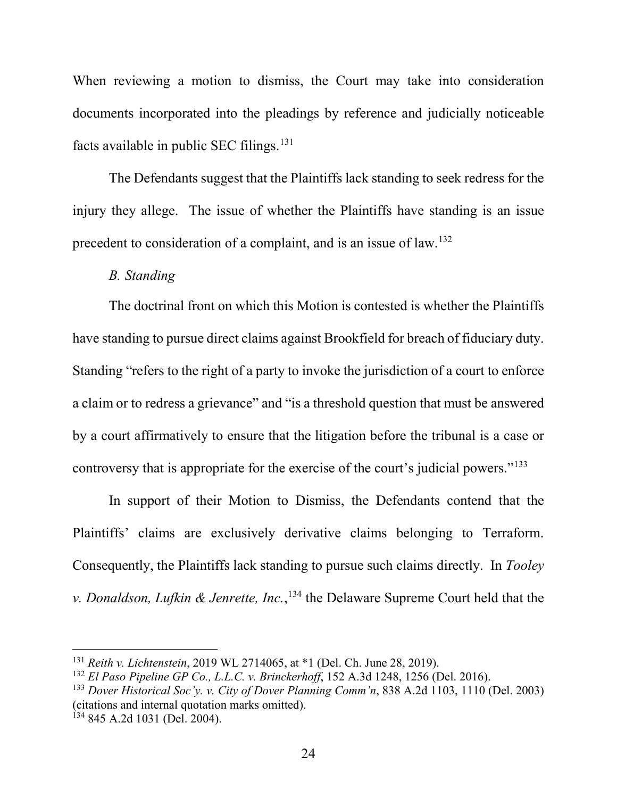When reviewing a motion to dismiss, the Court may take into consideration documents incorporated into the pleadings by reference and judicially noticeable facts available in public SEC filings. $131$ 

The Defendants suggest that the Plaintiffs lack standing to seek redress for the injury they allege. The issue of whether the Plaintiffs have standing is an issue precedent to consideration of a complaint, and is an issue of law.132

### *B. Standing*

The doctrinal front on which this Motion is contested is whether the Plaintiffs have standing to pursue direct claims against Brookfield for breach of fiduciary duty. Standing "refers to the right of a party to invoke the jurisdiction of a court to enforce a claim or to redress a grievance" and "is a threshold question that must be answered by a court affirmatively to ensure that the litigation before the tribunal is a case or controversy that is appropriate for the exercise of the court's judicial powers."133

In support of their Motion to Dismiss, the Defendants contend that the Plaintiffs' claims are exclusively derivative claims belonging to Terraform. Consequently, the Plaintiffs lack standing to pursue such claims directly. In *Tooley v. Donaldson, Lufkin & Jenrette, Inc.*, <sup>134</sup> the Delaware Supreme Court held that the

 <sup>131</sup> *Reith v. Lichtenstein*, 2019 WL 2714065, at \*1 (Del. Ch. June 28, 2019).

<sup>132</sup> *El Paso Pipeline GP Co., L.L.C. v. Brinckerhoff*, 152 A.3d 1248, 1256 (Del. 2016).

<sup>133</sup> *Dover Historical Soc'y. v. City of Dover Planning Comm'n*, 838 A.2d 1103, 1110 (Del. 2003) (citations and internal quotation marks omitted).

<sup>134</sup> 845 A.2d 1031 (Del. 2004).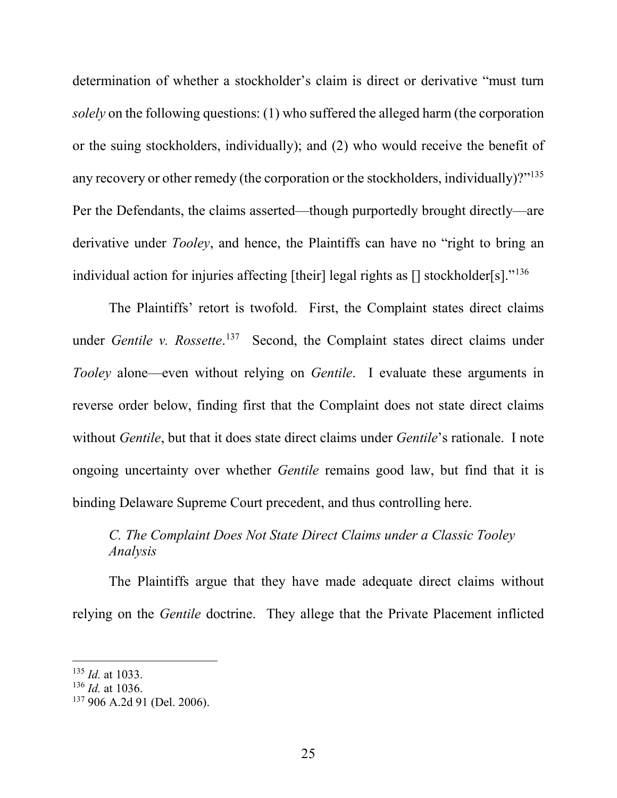determination of whether a stockholder's claim is direct or derivative "must turn *solely* on the following questions: (1) who suffered the alleged harm (the corporation or the suing stockholders, individually); and (2) who would receive the benefit of any recovery or other remedy (the corporation or the stockholders, individually)?"<sup>135</sup> Per the Defendants, the claims asserted—though purportedly brought directly—are derivative under *Tooley*, and hence, the Plaintiffs can have no "right to bring an individual action for injuries affecting [their] legal rights as [] stockholder[s]."<sup>136</sup>

The Plaintiffs' retort is twofold. First, the Complaint states direct claims under *Gentile v. Rossette*. <sup>137</sup> Second, the Complaint states direct claims under *Tooley* alone—even without relying on *Gentile*. I evaluate these arguments in reverse order below, finding first that the Complaint does not state direct claims without *Gentile*, but that it does state direct claims under *Gentile*'s rationale. I note ongoing uncertainty over whether *Gentile* remains good law, but find that it is binding Delaware Supreme Court precedent, and thus controlling here.

# *C. The Complaint Does Not State Direct Claims under a Classic Tooley Analysis*

The Plaintiffs argue that they have made adequate direct claims without relying on the *Gentile* doctrine. They allege that the Private Placement inflicted

 <sup>135</sup> *Id.* at 1033.

<sup>136</sup> *Id.* at 1036.

<sup>137</sup> 906 A.2d 91 (Del. 2006).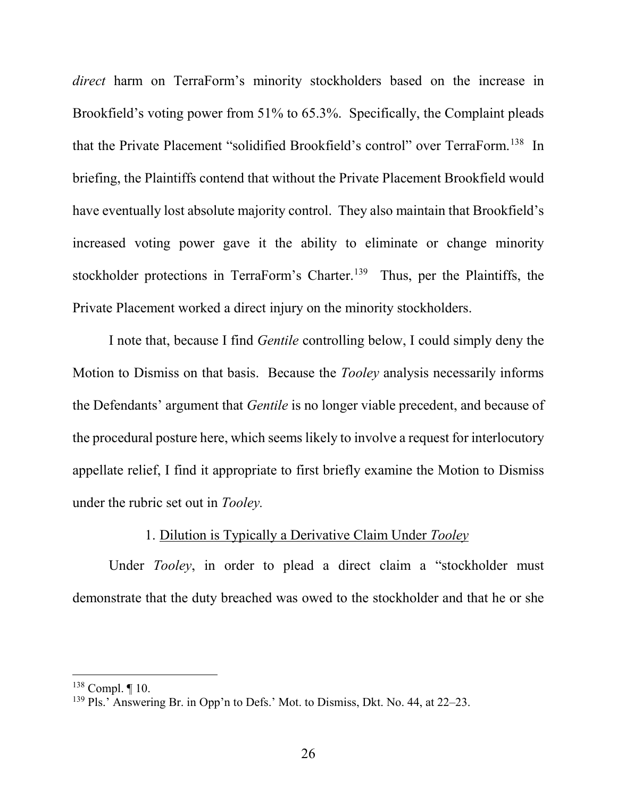*direct* harm on TerraForm's minority stockholders based on the increase in Brookfield's voting power from 51% to 65.3%. Specifically, the Complaint pleads that the Private Placement "solidified Brookfield's control" over TerraForm.138 In briefing, the Plaintiffs contend that without the Private Placement Brookfield would have eventually lost absolute majority control. They also maintain that Brookfield's increased voting power gave it the ability to eliminate or change minority stockholder protections in TerraForm's Charter.<sup>139</sup> Thus, per the Plaintiffs, the Private Placement worked a direct injury on the minority stockholders.

I note that, because I find *Gentile* controlling below, I could simply deny the Motion to Dismiss on that basis. Because the *Tooley* analysis necessarily informs the Defendants' argument that *Gentile* is no longer viable precedent, and because of the procedural posture here, which seems likely to involve a request for interlocutory appellate relief, I find it appropriate to first briefly examine the Motion to Dismiss under the rubric set out in *Tooley.*

## 1. Dilution is Typically a Derivative Claim Under *Tooley*

Under *Tooley*, in order to plead a direct claim a "stockholder must demonstrate that the duty breached was owed to the stockholder and that he or she

 <sup>138</sup> Compl. ¶ 10.

<sup>139</sup> Pls.' Answering Br. in Opp'n to Defs.' Mot. to Dismiss, Dkt. No. 44, at 22–23.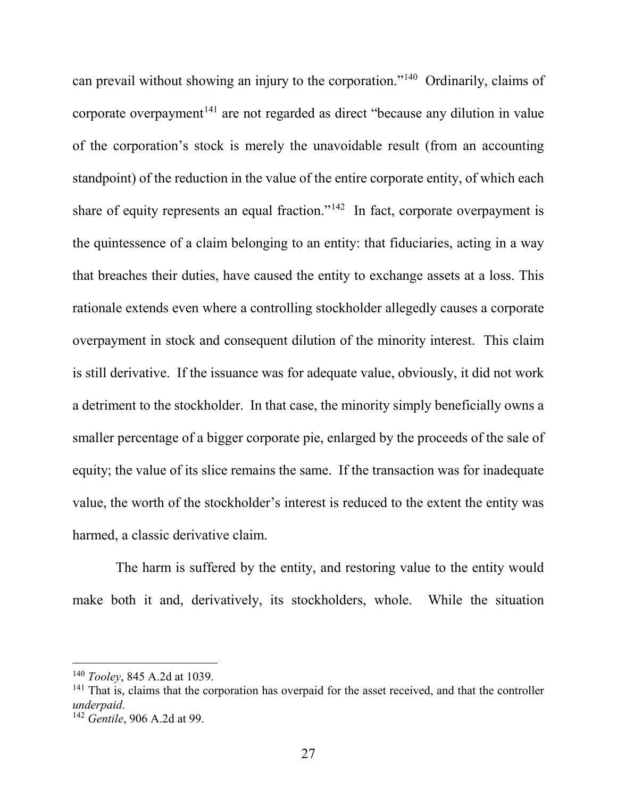can prevail without showing an injury to the corporation."140 Ordinarily, claims of corporate overpayment<sup>141</sup> are not regarded as direct "because any dilution in value of the corporation's stock is merely the unavoidable result (from an accounting standpoint) of the reduction in the value of the entire corporate entity, of which each share of equity represents an equal fraction."<sup>142</sup> In fact, corporate overpayment is the quintessence of a claim belonging to an entity: that fiduciaries, acting in a way that breaches their duties, have caused the entity to exchange assets at a loss. This rationale extends even where a controlling stockholder allegedly causes a corporate overpayment in stock and consequent dilution of the minority interest. This claim is still derivative. If the issuance was for adequate value, obviously, it did not work a detriment to the stockholder. In that case, the minority simply beneficially owns a smaller percentage of a bigger corporate pie, enlarged by the proceeds of the sale of equity; the value of its slice remains the same. If the transaction was for inadequate value, the worth of the stockholder's interest is reduced to the extent the entity was harmed, a classic derivative claim.

 The harm is suffered by the entity, and restoring value to the entity would make both it and, derivatively, its stockholders, whole. While the situation

 <sup>140</sup> *Tooley*, 845 A.2d at 1039.

<sup>&</sup>lt;sup>141</sup> That is, claims that the corporation has overpaid for the asset received, and that the controller *underpaid*. 142 *Gentile*, 906 A.2d at 99.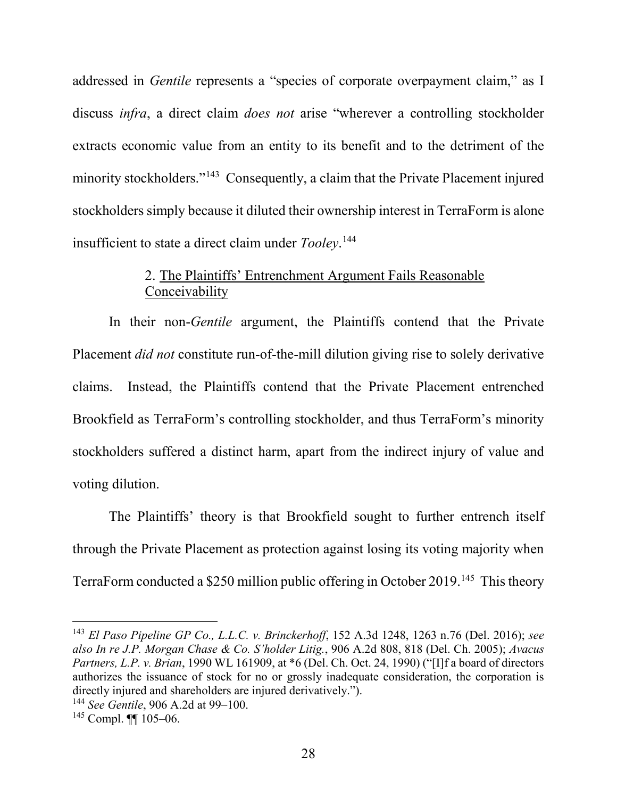addressed in *Gentile* represents a "species of corporate overpayment claim," as I discuss *infra*, a direct claim *does not* arise "wherever a controlling stockholder extracts economic value from an entity to its benefit and to the detriment of the minority stockholders."<sup>143</sup> Consequently, a claim that the Private Placement injured stockholders simply because it diluted their ownership interest in TerraForm is alone insufficient to state a direct claim under *Tooley*. 144

## 2. The Plaintiffs' Entrenchment Argument Fails Reasonable Conceivability

In their non-*Gentile* argument, the Plaintiffs contend that the Private Placement *did not* constitute run-of-the-mill dilution giving rise to solely derivative claims. Instead, the Plaintiffs contend that the Private Placement entrenched Brookfield as TerraForm's controlling stockholder, and thus TerraForm's minority stockholders suffered a distinct harm, apart from the indirect injury of value and voting dilution.

The Plaintiffs' theory is that Brookfield sought to further entrench itself through the Private Placement as protection against losing its voting majority when TerraForm conducted a \$250 million public offering in October 2019.145 This theory

 <sup>143</sup> *El Paso Pipeline GP Co., L.L.C. v. Brinckerhoff*, 152 A.3d 1248, 1263 n.76 (Del. 2016); *see also In re J.P. Morgan Chase & Co. S'holder Litig.*, 906 A.2d 808, 818 (Del. Ch. 2005); *Avacus Partners, L.P. v. Brian*, 1990 WL 161909, at \*6 (Del. Ch. Oct. 24, 1990) ("[I]f a board of directors authorizes the issuance of stock for no or grossly inadequate consideration, the corporation is directly injured and shareholders are injured derivatively.").

<sup>144</sup> *See Gentile*, 906 A.2d at 99–100.

<sup>145</sup> Compl. ¶¶ 105–06.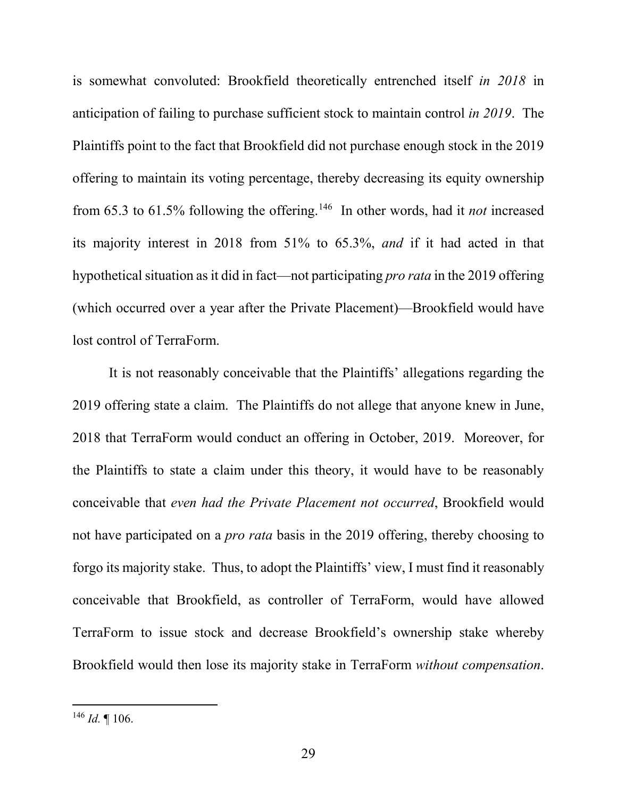is somewhat convoluted: Brookfield theoretically entrenched itself *in 2018* in anticipation of failing to purchase sufficient stock to maintain control *in 2019*. The Plaintiffs point to the fact that Brookfield did not purchase enough stock in the 2019 offering to maintain its voting percentage, thereby decreasing its equity ownership from 65.3 to 61.5% following the offering.146 In other words, had it *not* increased its majority interest in 2018 from 51% to 65.3%, *and* if it had acted in that hypothetical situation as it did in fact—not participating *pro rata* in the 2019 offering (which occurred over a year after the Private Placement)—Brookfield would have lost control of TerraForm.

It is not reasonably conceivable that the Plaintiffs' allegations regarding the 2019 offering state a claim. The Plaintiffs do not allege that anyone knew in June, 2018 that TerraForm would conduct an offering in October, 2019. Moreover, for the Plaintiffs to state a claim under this theory, it would have to be reasonably conceivable that *even had the Private Placement not occurred*, Brookfield would not have participated on a *pro rata* basis in the 2019 offering, thereby choosing to forgo its majority stake. Thus, to adopt the Plaintiffs' view, I must find it reasonably conceivable that Brookfield, as controller of TerraForm, would have allowed TerraForm to issue stock and decrease Brookfield's ownership stake whereby Brookfield would then lose its majority stake in TerraForm *without compensation*.

 <sup>146</sup> *Id.* ¶ 106.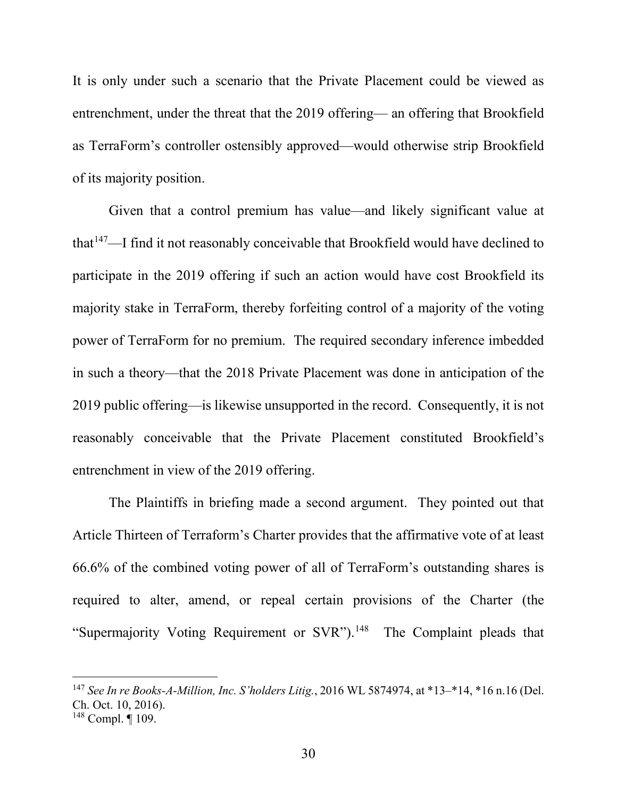It is only under such a scenario that the Private Placement could be viewed as entrenchment, under the threat that the 2019 offering— an offering that Brookfield as TerraForm's controller ostensibly approved—would otherwise strip Brookfield of its majority position.

Given that a control premium has value—and likely significant value at that<sup>147</sup>—I find it not reasonably conceivable that Brookfield would have declined to participate in the 2019 offering if such an action would have cost Brookfield its majority stake in TerraForm, thereby forfeiting control of a majority of the voting power of TerraForm for no premium. The required secondary inference imbedded in such a theory—that the 2018 Private Placement was done in anticipation of the 2019 public offering—is likewise unsupported in the record. Consequently, it is not reasonably conceivable that the Private Placement constituted Brookfield's entrenchment in view of the 2019 offering.

The Plaintiffs in briefing made a second argument. They pointed out that Article Thirteen of Terraform's Charter provides that the affirmative vote of at least 66.6% of the combined voting power of all of TerraForm's outstanding shares is required to alter, amend, or repeal certain provisions of the Charter (the "Supermajority Voting Requirement or SVR").<sup>148</sup> The Complaint pleads that

 <sup>147</sup> *See In re Books-A-Million, Inc. S'holders Litig.*, 2016 WL 5874974, at \*13–\*14, \*16 n.16 (Del. Ch. Oct. 10, 2016).

<sup>148</sup> Compl. ¶ 109.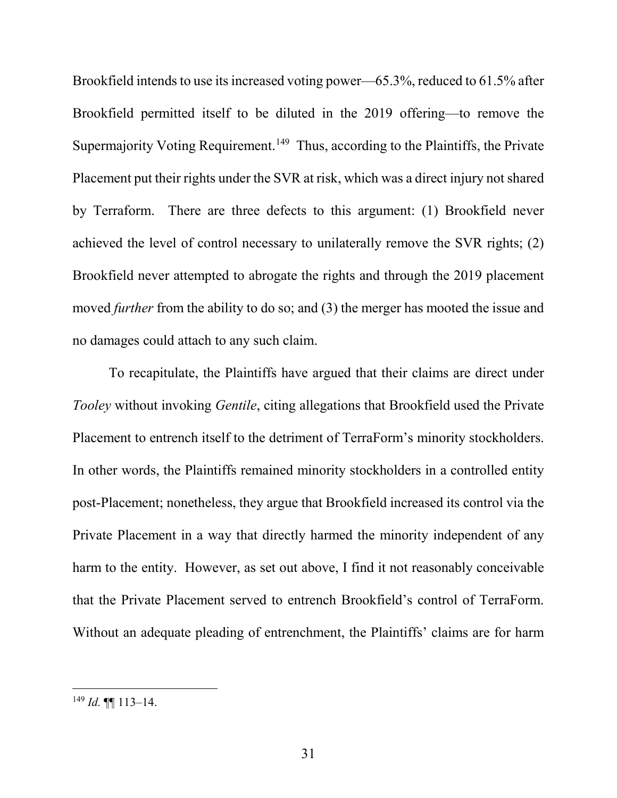Brookfield intends to use its increased voting power—65.3%, reduced to 61.5% after Brookfield permitted itself to be diluted in the 2019 offering—to remove the Supermajority Voting Requirement.<sup>149</sup> Thus, according to the Plaintiffs, the Private Placement put their rights under the SVR at risk, which was a direct injury not shared by Terraform. There are three defects to this argument: (1) Brookfield never achieved the level of control necessary to unilaterally remove the SVR rights; (2) Brookfield never attempted to abrogate the rights and through the 2019 placement moved *further* from the ability to do so; and (3) the merger has mooted the issue and no damages could attach to any such claim.

To recapitulate, the Plaintiffs have argued that their claims are direct under *Tooley* without invoking *Gentile*, citing allegations that Brookfield used the Private Placement to entrench itself to the detriment of TerraForm's minority stockholders. In other words, the Plaintiffs remained minority stockholders in a controlled entity post-Placement; nonetheless, they argue that Brookfield increased its control via the Private Placement in a way that directly harmed the minority independent of any harm to the entity. However, as set out above, I find it not reasonably conceivable that the Private Placement served to entrench Brookfield's control of TerraForm. Without an adequate pleading of entrenchment, the Plaintiffs' claims are for harm

 $^{149}$  *Id.*  $\P\P$  113–14.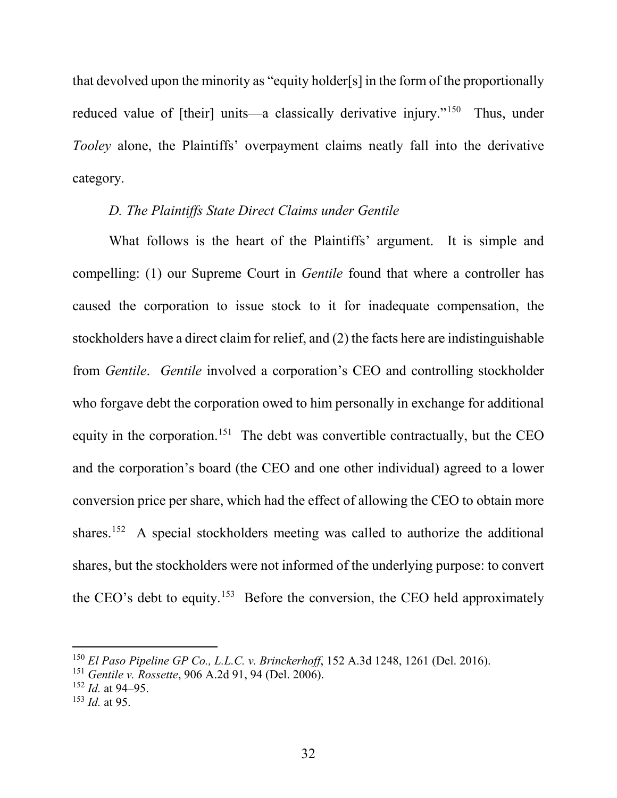that devolved upon the minority as "equity holder[s] in the form of the proportionally reduced value of [their] units—a classically derivative injury."<sup>150</sup> Thus, under *Tooley* alone, the Plaintiffs' overpayment claims neatly fall into the derivative category.

### *D. The Plaintiffs State Direct Claims under Gentile*

What follows is the heart of the Plaintiffs' argument. It is simple and compelling: (1) our Supreme Court in *Gentile* found that where a controller has caused the corporation to issue stock to it for inadequate compensation, the stockholders have a direct claim for relief, and (2) the facts here are indistinguishable from *Gentile*. *Gentile* involved a corporation's CEO and controlling stockholder who forgave debt the corporation owed to him personally in exchange for additional equity in the corporation.<sup>151</sup> The debt was convertible contractually, but the CEO and the corporation's board (the CEO and one other individual) agreed to a lower conversion price per share, which had the effect of allowing the CEO to obtain more shares.<sup>152</sup> A special stockholders meeting was called to authorize the additional shares, but the stockholders were not informed of the underlying purpose: to convert the CEO's debt to equity.<sup>153</sup> Before the conversion, the CEO held approximately

 <sup>150</sup> *El Paso Pipeline GP Co., L.L.C. v. Brinckerhoff*, 152 A.3d 1248, 1261 (Del. 2016).

<sup>151</sup> *Gentile v. Rossette*, 906 A.2d 91, 94 (Del. 2006).

 $152$  *Id.* at 94–95.

<sup>153</sup> *Id.* at 95.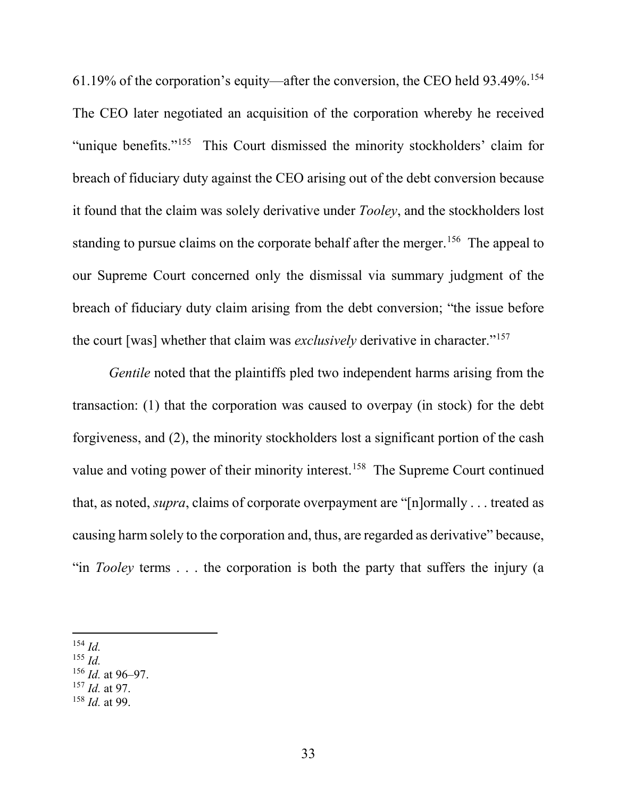61.19% of the corporation's equity—after the conversion, the CEO held 93.49%.154 The CEO later negotiated an acquisition of the corporation whereby he received "unique benefits."155 This Court dismissed the minority stockholders' claim for breach of fiduciary duty against the CEO arising out of the debt conversion because it found that the claim was solely derivative under *Tooley*, and the stockholders lost standing to pursue claims on the corporate behalf after the merger.<sup>156</sup> The appeal to our Supreme Court concerned only the dismissal via summary judgment of the breach of fiduciary duty claim arising from the debt conversion; "the issue before the court [was] whether that claim was *exclusively* derivative in character."<sup>157</sup>

*Gentile* noted that the plaintiffs pled two independent harms arising from the transaction: (1) that the corporation was caused to overpay (in stock) for the debt forgiveness, and (2), the minority stockholders lost a significant portion of the cash value and voting power of their minority interest.<sup>158</sup> The Supreme Court continued that, as noted, *supra*, claims of corporate overpayment are "[n]ormally . . . treated as causing harm solely to the corporation and, thus, are regarded as derivative" because, "in *Tooley* terms . . . the corporation is both the party that suffers the injury (a

- <sup>155</sup> *Id.*
- <sup>156</sup> *Id.* at 96–97.
- <sup>157</sup> *Id.* at 97.
- <sup>158</sup> *Id.* at 99.

 <sup>154</sup> *Id.*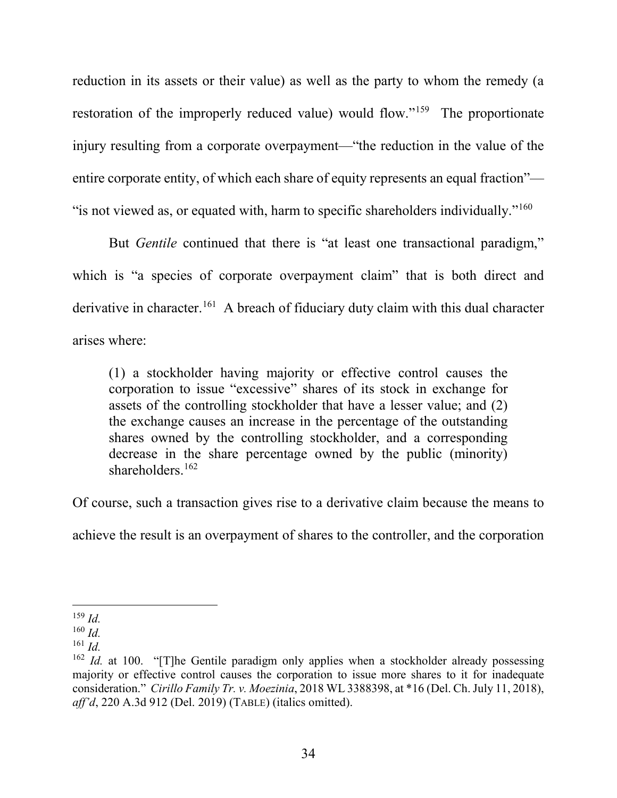reduction in its assets or their value) as well as the party to whom the remedy (a restoration of the improperly reduced value) would flow."159 The proportionate injury resulting from a corporate overpayment—"the reduction in the value of the entire corporate entity, of which each share of equity represents an equal fraction"— " is not viewed as, or equated with, harm to specific shareholders individually."<sup>160</sup>

But *Gentile* continued that there is "at least one transactional paradigm," which is "a species of corporate overpayment claim" that is both direct and derivative in character.<sup>161</sup> A breach of fiduciary duty claim with this dual character arises where:

(1) a stockholder having majority or effective control causes the corporation to issue "excessive" shares of its stock in exchange for assets of the controlling stockholder that have a lesser value; and (2) the exchange causes an increase in the percentage of the outstanding shares owned by the controlling stockholder, and a corresponding decrease in the share percentage owned by the public (minority) shareholders.<sup>162</sup>

Of course, such a transaction gives rise to a derivative claim because the means to

achieve the result is an overpayment of shares to the controller, and the corporation

 <sup>159</sup> *Id.*

<sup>160</sup> *Id.*

<sup>161</sup> *Id.*

<sup>&</sup>lt;sup>162</sup> *Id.* at 100. "[T]he Gentile paradigm only applies when a stockholder already possessing majority or effective control causes the corporation to issue more shares to it for inadequate consideration." *Cirillo Family Tr. v. Moezinia*, 2018 WL 3388398, at \*16 (Del. Ch. July 11, 2018), *aff'd*, 220 A.3d 912 (Del. 2019) (TABLE) (italics omitted).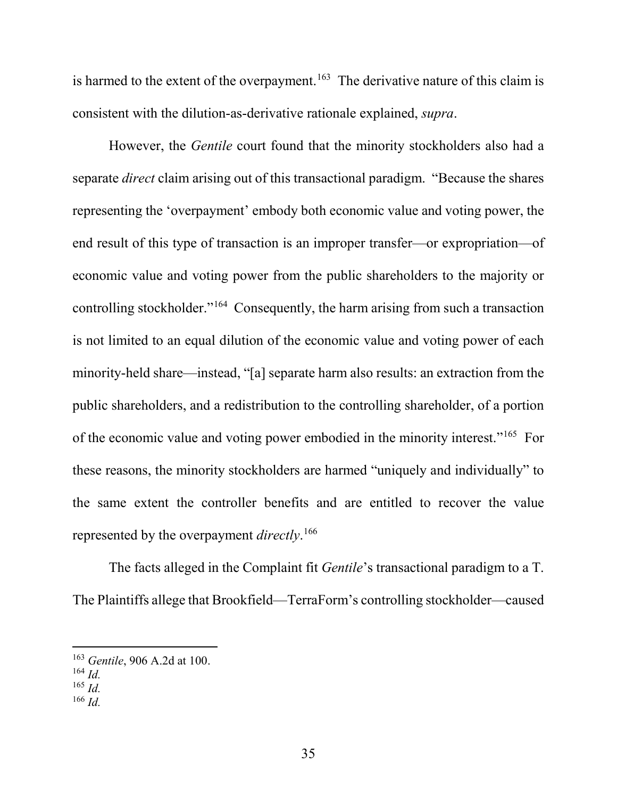is harmed to the extent of the overpayment.<sup>163</sup> The derivative nature of this claim is consistent with the dilution-as-derivative rationale explained, *supra*.

However, the *Gentile* court found that the minority stockholders also had a separate *direct* claim arising out of this transactional paradigm. "Because the shares representing the 'overpayment' embody both economic value and voting power, the end result of this type of transaction is an improper transfer—or expropriation—of economic value and voting power from the public shareholders to the majority or controlling stockholder."164 Consequently, the harm arising from such a transaction is not limited to an equal dilution of the economic value and voting power of each minority-held share—instead, "[a] separate harm also results: an extraction from the public shareholders, and a redistribution to the controlling shareholder, of a portion of the economic value and voting power embodied in the minority interest."165 For these reasons, the minority stockholders are harmed "uniquely and individually" to the same extent the controller benefits and are entitled to recover the value represented by the overpayment *directly*. 166

The facts alleged in the Complaint fit *Gentile*'s transactional paradigm to a T. The Plaintiffs allege that Brookfield—TerraForm's controlling stockholder—caused

<sup>166</sup> *Id.*

 <sup>163</sup> *Gentile*, 906 A.2d at 100.

<sup>164</sup> *Id.*

<sup>165</sup> *Id.*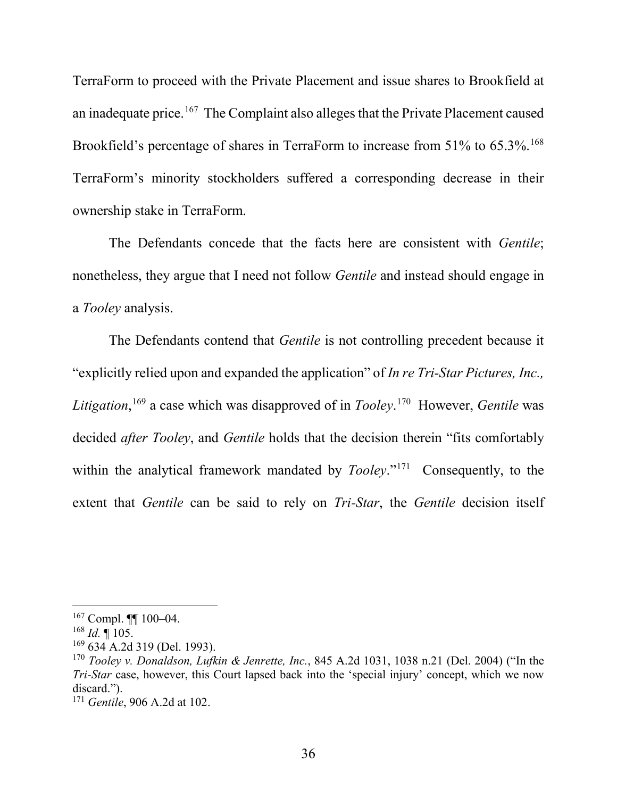TerraForm to proceed with the Private Placement and issue shares to Brookfield at an inadequate price.<sup>167</sup> The Complaint also alleges that the Private Placement caused Brookfield's percentage of shares in TerraForm to increase from 51% to 65.3%.<sup>168</sup> TerraForm's minority stockholders suffered a corresponding decrease in their ownership stake in TerraForm.

The Defendants concede that the facts here are consistent with *Gentile*; nonetheless, they argue that I need not follow *Gentile* and instead should engage in a *Tooley* analysis.

The Defendants contend that *Gentile* is not controlling precedent because it "explicitly relied upon and expanded the application" of *In re Tri-Star Pictures, Inc., Litigation*, <sup>169</sup> a case which was disapproved of in *Tooley*. 170 However, *Gentile* was decided *after Tooley*, and *Gentile* holds that the decision therein "fits comfortably within the analytical framework mandated by *Tooley*."<sup>171</sup> Consequently, to the extent that *Gentile* can be said to rely on *Tri-Star*, the *Gentile* decision itself

 $167$  Compl. ¶[  $100-04$ .

 $168$  *Id.* 105.

 $169$  634 A.2d 319 (Del. 1993).

<sup>170</sup> *Tooley v. Donaldson, Lufkin & Jenrette, Inc.*, 845 A.2d 1031, 1038 n.21 (Del. 2004) ("In the *Tri-Star* case, however, this Court lapsed back into the 'special injury' concept, which we now discard.").

<sup>171</sup> *Gentile*, 906 A.2d at 102.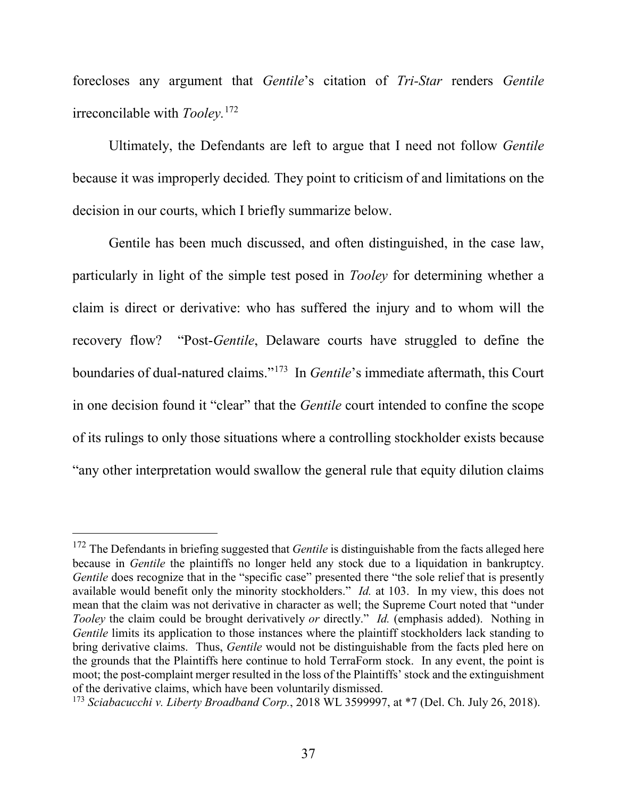forecloses any argument that *Gentile*'s citation of *Tri-Star* renders *Gentile* irreconcilable with *Tooley.*<sup>172</sup>

Ultimately, the Defendants are left to argue that I need not follow *Gentile* because it was improperly decided*.* They point to criticism of and limitations on the decision in our courts, which I briefly summarize below.

Gentile has been much discussed, and often distinguished, in the case law, particularly in light of the simple test posed in *Tooley* for determining whether a claim is direct or derivative: who has suffered the injury and to whom will the recovery flow? "Post-*Gentile*, Delaware courts have struggled to define the boundaries of dual-natured claims."173 In *Gentile*'s immediate aftermath, this Court in one decision found it "clear" that the *Gentile* court intended to confine the scope of its rulings to only those situations where a controlling stockholder exists because "any other interpretation would swallow the general rule that equity dilution claims

<sup>&</sup>lt;sup>172</sup> The Defendants in briefing suggested that *Gentile* is distinguishable from the facts alleged here because in *Gentile* the plaintiffs no longer held any stock due to a liquidation in bankruptcy. *Gentile* does recognize that in the "specific case" presented there "the sole relief that is presently available would benefit only the minority stockholders." *Id.* at 103. In my view, this does not mean that the claim was not derivative in character as well; the Supreme Court noted that "under *Tooley* the claim could be brought derivatively *or* directly." *Id.* (emphasis added). Nothing in *Gentile* limits its application to those instances where the plaintiff stockholders lack standing to bring derivative claims. Thus, *Gentile* would not be distinguishable from the facts pled here on the grounds that the Plaintiffs here continue to hold TerraForm stock. In any event, the point is moot; the post-complaint merger resulted in the loss of the Plaintiffs' stock and the extinguishment of the derivative claims, which have been voluntarily dismissed.

<sup>173</sup> *Sciabacucchi v. Liberty Broadband Corp.*, 2018 WL 3599997, at \*7 (Del. Ch. July 26, 2018).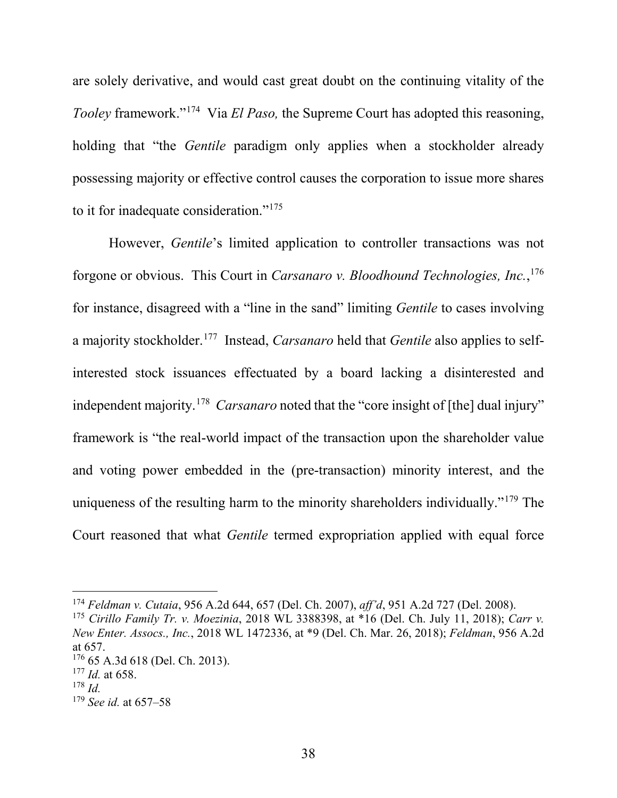are solely derivative, and would cast great doubt on the continuing vitality of the *Tooley* framework."174 Via *El Paso,* the Supreme Court has adopted this reasoning, holding that "the *Gentile* paradigm only applies when a stockholder already possessing majority or effective control causes the corporation to issue more shares to it for inadequate consideration."175

However, *Gentile*'s limited application to controller transactions was not forgone or obvious. This Court in *Carsanaro v. Bloodhound Technologies, Inc.*, 176 for instance, disagreed with a "line in the sand" limiting *Gentile* to cases involving a majority stockholder.177 Instead, *Carsanaro* held that *Gentile* also applies to selfinterested stock issuances effectuated by a board lacking a disinterested and independent majority.178 *Carsanaro* noted that the "core insight of [the] dual injury" framework is "the real-world impact of the transaction upon the shareholder value and voting power embedded in the (pre-transaction) minority interest, and the uniqueness of the resulting harm to the minority shareholders individually."179 The Court reasoned that what *Gentile* termed expropriation applied with equal force

 <sup>174</sup> *Feldman v. Cutaia*, 956 A.2d 644, 657 (Del. Ch. 2007), *aff'd*, 951 A.2d 727 (Del. 2008).

<sup>175</sup> *Cirillo Family Tr. v. Moezinia*, 2018 WL 3388398, at \*16 (Del. Ch. July 11, 2018); *Carr v. New Enter. Assocs., Inc.*, 2018 WL 1472336, at \*9 (Del. Ch. Mar. 26, 2018); *Feldman*, 956 A.2d at 657.

<sup>176</sup> 65 A.3d 618 (Del. Ch. 2013).

<sup>177</sup> *Id.* at 658.

<sup>178</sup> *Id.*

<sup>179</sup> *See id.* at 657–58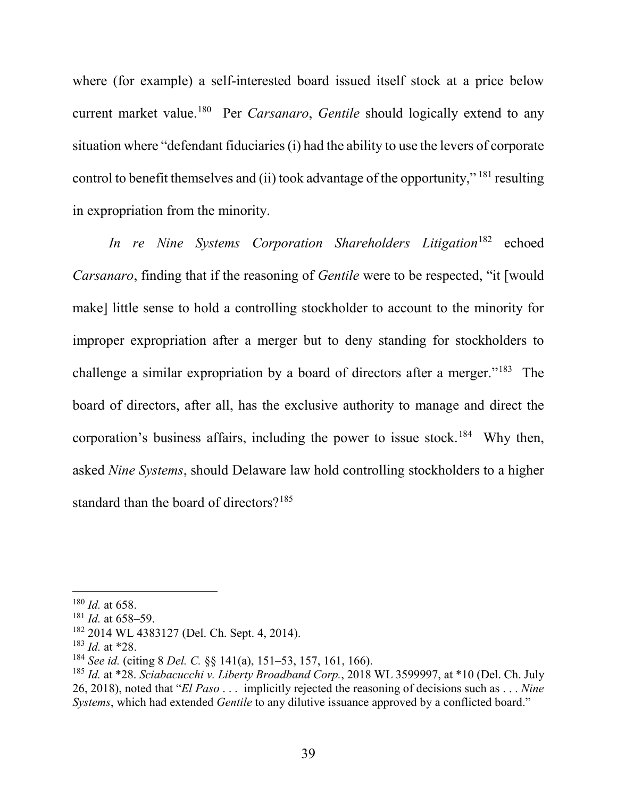where (for example) a self-interested board issued itself stock at a price below current market value.180 Per *Carsanaro*, *Gentile* should logically extend to any situation where "defendant fiduciaries (i) had the ability to use the levers of corporate control to benefit themselves and (ii) took advantage of the opportunity," <sup>181</sup> resulting in expropriation from the minority.

*In re Nine Systems Corporation Shareholders Litigation*<sup>182</sup> echoed *Carsanaro*, finding that if the reasoning of *Gentile* were to be respected, "it [would make] little sense to hold a controlling stockholder to account to the minority for improper expropriation after a merger but to deny standing for stockholders to challenge a similar expropriation by a board of directors after a merger."183 The board of directors, after all, has the exclusive authority to manage and direct the corporation's business affairs, including the power to issue stock.<sup>184</sup> Why then, asked *Nine Systems*, should Delaware law hold controlling stockholders to a higher standard than the board of directors?<sup>185</sup>

 <sup>180</sup> *Id.* at 658.

 $181$  *Id.* at 658–59.

<sup>182</sup> 2014 WL 4383127 (Del. Ch. Sept. 4, 2014).

<sup>183</sup> *Id.* at \*28.

<sup>184</sup> *See id.* (citing 8 *Del. C.* §§ 141(a), 151–53, 157, 161, 166).

<sup>185</sup> *Id.* at \*28. *Sciabacucchi v. Liberty Broadband Corp.*, 2018 WL 3599997, at \*10 (Del. Ch. July 26, 2018), noted that "*El Paso* . . . implicitly rejected the reasoning of decisions such as . . . *Nine Systems*, which had extended *Gentile* to any dilutive issuance approved by a conflicted board."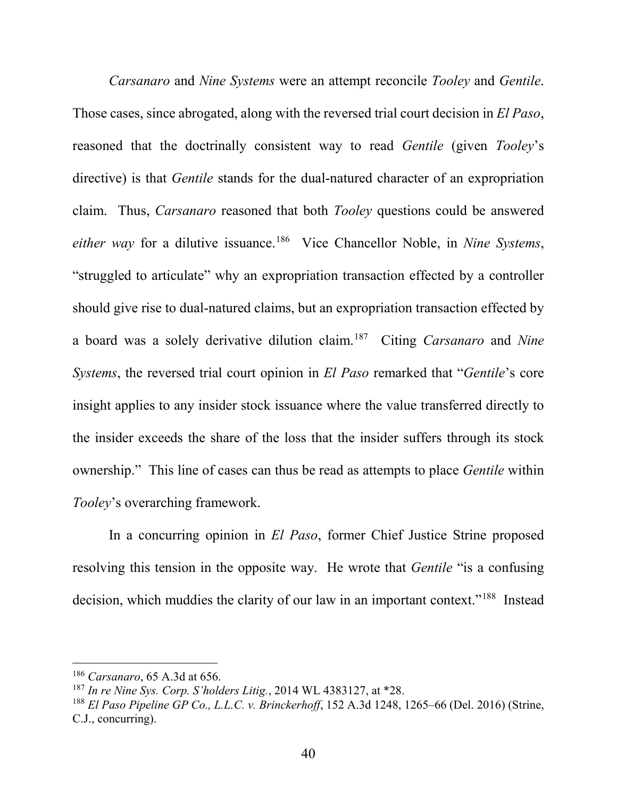*Carsanaro* and *Nine Systems* were an attempt reconcile *Tooley* and *Gentile*. Those cases, since abrogated, along with the reversed trial court decision in *El Paso*, reasoned that the doctrinally consistent way to read *Gentile* (given *Tooley*'s directive) is that *Gentile* stands for the dual-natured character of an expropriation claim. Thus, *Carsanaro* reasoned that both *Tooley* questions could be answered *either way* for a dilutive issuance.186 Vice Chancellor Noble, in *Nine Systems*, "struggled to articulate" why an expropriation transaction effected by a controller should give rise to dual-natured claims, but an expropriation transaction effected by a board was a solely derivative dilution claim.187 Citing *Carsanaro* and *Nine Systems*, the reversed trial court opinion in *El Paso* remarked that "*Gentile*'s core insight applies to any insider stock issuance where the value transferred directly to the insider exceeds the share of the loss that the insider suffers through its stock ownership." This line of cases can thus be read as attempts to place *Gentile* within *Tooley*'s overarching framework.

In a concurring opinion in *El Paso*, former Chief Justice Strine proposed resolving this tension in the opposite way. He wrote that *Gentile* "is a confusing decision, which muddies the clarity of our law in an important context."188 Instead

 <sup>186</sup> *Carsanaro*, 65 A.3d at 656.

<sup>187</sup> *In re Nine Sys. Corp. S'holders Litig.*, 2014 WL 4383127, at \*28.

<sup>188</sup> *El Paso Pipeline GP Co., L.L.C. v. Brinckerhoff*, 152 A.3d 1248, 1265–66 (Del. 2016) (Strine, C.J., concurring).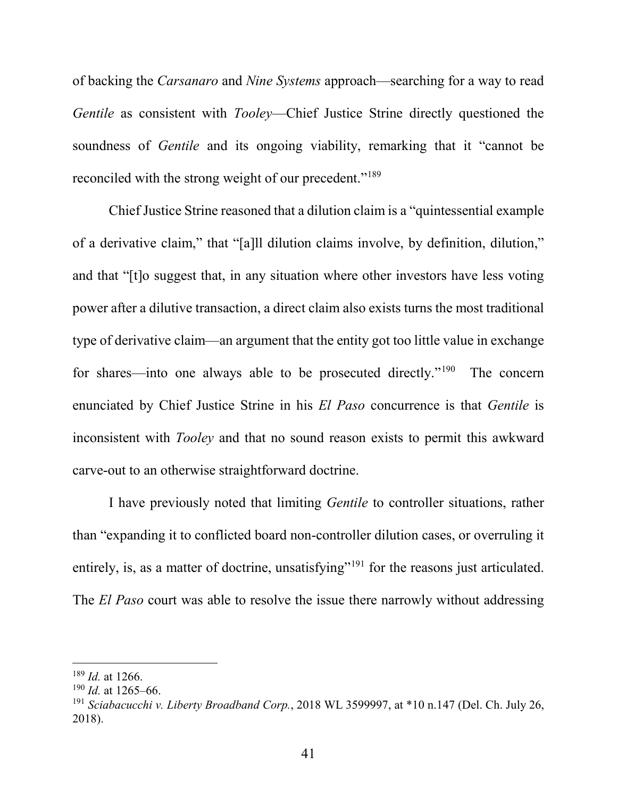of backing the *Carsanaro* and *Nine Systems* approach—searching for a way to read *Gentile* as consistent with *Tooley*—Chief Justice Strine directly questioned the soundness of *Gentile* and its ongoing viability, remarking that it "cannot be reconciled with the strong weight of our precedent."<sup>189</sup>

Chief Justice Strine reasoned that a dilution claim is a "quintessential example of a derivative claim," that "[a]ll dilution claims involve, by definition, dilution," and that "[t]o suggest that, in any situation where other investors have less voting power after a dilutive transaction, a direct claim also exists turns the most traditional type of derivative claim—an argument that the entity got too little value in exchange for shares—into one always able to be prosecuted directly."<sup>190</sup> The concern enunciated by Chief Justice Strine in his *El Paso* concurrence is that *Gentile* is inconsistent with *Tooley* and that no sound reason exists to permit this awkward carve-out to an otherwise straightforward doctrine.

I have previously noted that limiting *Gentile* to controller situations, rather than "expanding it to conflicted board non-controller dilution cases, or overruling it entirely, is, as a matter of doctrine, unsatisfying"<sup>191</sup> for the reasons just articulated. The *El Paso* court was able to resolve the issue there narrowly without addressing

 <sup>189</sup> *Id.* at 1266.

<sup>190</sup> *Id.* at 1265–66.

<sup>191</sup> *Sciabacucchi v. Liberty Broadband Corp.*, 2018 WL 3599997, at \*10 n.147 (Del. Ch. July 26, 2018).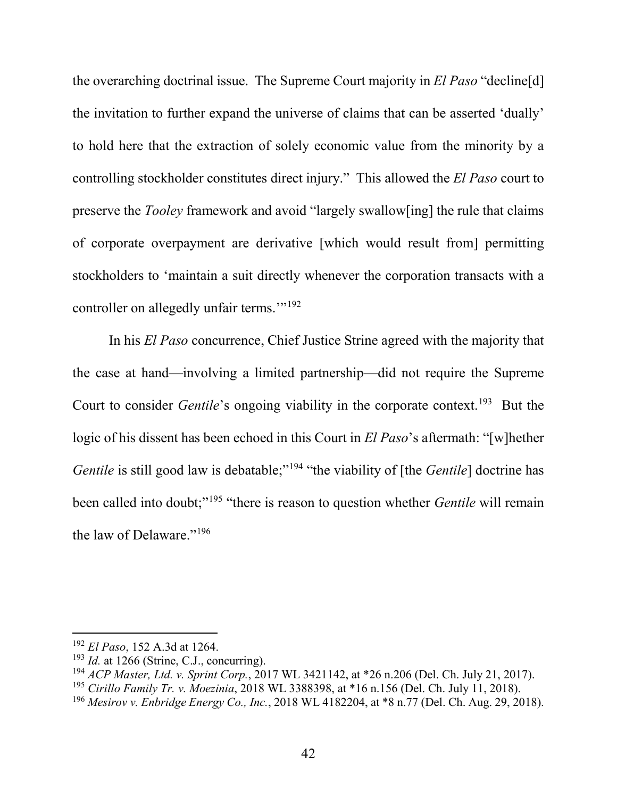the overarching doctrinal issue. The Supreme Court majority in *El Paso* "decline[d] the invitation to further expand the universe of claims that can be asserted 'dually' to hold here that the extraction of solely economic value from the minority by a controlling stockholder constitutes direct injury." This allowed the *El Paso* court to preserve the *Tooley* framework and avoid "largely swallow[ing] the rule that claims of corporate overpayment are derivative [which would result from] permitting stockholders to 'maintain a suit directly whenever the corporation transacts with a controller on allegedly unfair terms."<sup>192</sup>

In his *El Paso* concurrence, Chief Justice Strine agreed with the majority that the case at hand—involving a limited partnership—did not require the Supreme Court to consider *Gentile*'s ongoing viability in the corporate context.<sup>193</sup> But the logic of his dissent has been echoed in this Court in *El Paso*'s aftermath: "[w]hether *Gentile* is still good law is debatable;"<sup>194</sup> "the viability of [the *Gentile*] doctrine has been called into doubt;"<sup>195</sup> "there is reason to question whether *Gentile* will remain the law of Delaware."196

 <sup>192</sup> *El Paso*, 152 A.3d at 1264.

 $193$  *Id.* at 1266 (Strine, C.J., concurring).

<sup>194</sup> *ACP Master, Ltd. v. Sprint Corp.*, 2017 WL 3421142, at \*26 n.206 (Del. Ch. July 21, 2017).

<sup>195</sup> *Cirillo Family Tr. v. Moezinia*, 2018 WL 3388398, at \*16 n.156 (Del. Ch. July 11, 2018).

<sup>196</sup> *Mesirov v. Enbridge Energy Co., Inc.*, 2018 WL 4182204, at \*8 n.77 (Del. Ch. Aug. 29, 2018).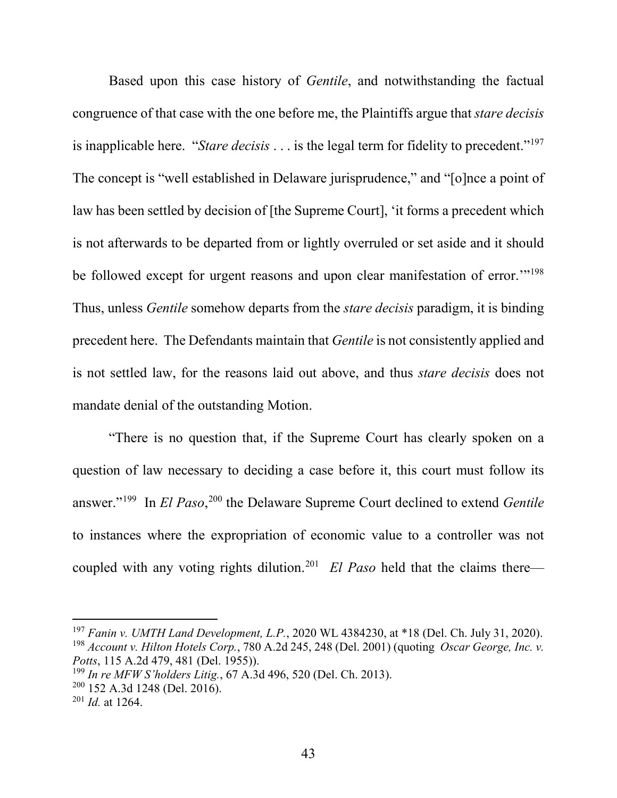Based upon this case history of *Gentile*, and notwithstanding the factual congruence of that case with the one before me, the Plaintiffs argue that *stare decisis*  is inapplicable here. "*Stare decisis*  $\ldots$  is the legal term for fidelity to precedent."<sup>197</sup> The concept is "well established in Delaware jurisprudence," and "[o]nce a point of law has been settled by decision of [the Supreme Court], 'it forms a precedent which is not afterwards to be departed from or lightly overruled or set aside and it should be followed except for urgent reasons and upon clear manifestation of error."<sup>198</sup> Thus, unless *Gentile* somehow departs from the *stare decisis* paradigm, it is binding precedent here. The Defendants maintain that *Gentile* is not consistently applied and is not settled law, for the reasons laid out above, and thus *stare decisis* does not mandate denial of the outstanding Motion.

"There is no question that, if the Supreme Court has clearly spoken on a question of law necessary to deciding a case before it, this court must follow its answer."199 In *El Paso*, <sup>200</sup> the Delaware Supreme Court declined to extend *Gentile*  to instances where the expropriation of economic value to a controller was not coupled with any voting rights dilution.<sup>201</sup> *El Paso* held that the claims there—

 <sup>197</sup> *Fanin v. UMTH Land Development, L.P.*, 2020 WL 4384230, at \*18 (Del. Ch. July 31, 2020). <sup>198</sup> *Account v. Hilton Hotels Corp.*, 780 A.2d 245, 248 (Del. 2001) (quoting *Oscar George, Inc. v. Potts*, 115 A.2d 479, 481 (Del. 1955)).

<sup>199</sup> *In re MFW S'holders Litig.*, 67 A.3d 496, 520 (Del. Ch. 2013).

 $200$  152 A.3d 1248 (Del. 2016).

<sup>201</sup> *Id.* at 1264.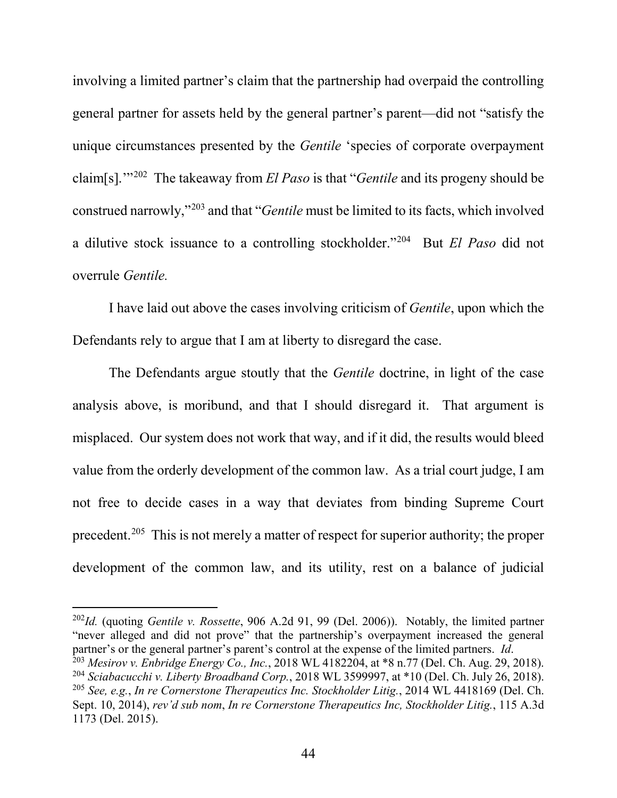involving a limited partner's claim that the partnership had overpaid the controlling general partner for assets held by the general partner's parent—did not "satisfy the unique circumstances presented by the *Gentile* 'species of corporate overpayment claim[s].'"202 The takeaway from *El Paso* is that "*Gentile* and its progeny should be construed narrowly,"203 and that "*Gentile* must be limited to its facts, which involved a dilutive stock issuance to a controlling stockholder."204 But *El Paso* did not overrule *Gentile.*

I have laid out above the cases involving criticism of *Gentile*, upon which the Defendants rely to argue that I am at liberty to disregard the case.

The Defendants argue stoutly that the *Gentile* doctrine, in light of the case analysis above, is moribund, and that I should disregard it. That argument is misplaced. Our system does not work that way, and if it did, the results would bleed value from the orderly development of the common law. As a trial court judge, I am not free to decide cases in a way that deviates from binding Supreme Court precedent.<sup>205</sup> This is not merely a matter of respect for superior authority; the proper development of the common law, and its utility, rest on a balance of judicial

 202*Id.* (quoting *Gentile v. Rossette*, 906 A.2d 91, 99 (Del. 2006)). Notably, the limited partner "never alleged and did not prove" that the partnership's overpayment increased the general partner's or the general partner's parent's control at the expense of the limited partners. *Id*.

<sup>203</sup> *Mesirov v. Enbridge Energy Co., Inc.*, 2018 WL 4182204, at \*8 n.77 (Del. Ch. Aug. 29, 2018). <sup>204</sup> *Sciabacucchi v. Liberty Broadband Corp.*, 2018 WL 3599997, at \*10 (Del. Ch. July 26, 2018). <sup>205</sup> *See, e.g.*, *In re Cornerstone Therapeutics Inc. Stockholder Litig.*, 2014 WL 4418169 (Del. Ch. Sept. 10, 2014), *rev'd sub nom*, *In re Cornerstone Therapeutics Inc, Stockholder Litig.*, 115 A.3d 1173 (Del. 2015).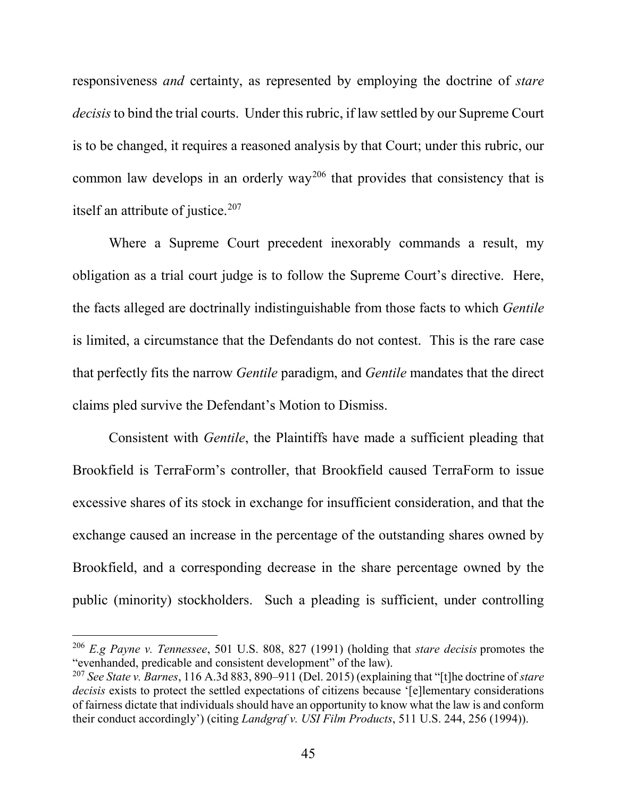responsiveness *and* certainty, as represented by employing the doctrine of *stare decisis*to bind the trial courts. Under this rubric, if law settled by our Supreme Court is to be changed, it requires a reasoned analysis by that Court; under this rubric, our common law develops in an orderly way<sup>206</sup> that provides that consistency that is itself an attribute of justice.<sup>207</sup>

Where a Supreme Court precedent inexorably commands a result, my obligation as a trial court judge is to follow the Supreme Court's directive. Here, the facts alleged are doctrinally indistinguishable from those facts to which *Gentile*  is limited, a circumstance that the Defendants do not contest. This is the rare case that perfectly fits the narrow *Gentile* paradigm, and *Gentile* mandates that the direct claims pled survive the Defendant's Motion to Dismiss.

Consistent with *Gentile*, the Plaintiffs have made a sufficient pleading that Brookfield is TerraForm's controller, that Brookfield caused TerraForm to issue excessive shares of its stock in exchange for insufficient consideration, and that the exchange caused an increase in the percentage of the outstanding shares owned by Brookfield, and a corresponding decrease in the share percentage owned by the public (minority) stockholders. Such a pleading is sufficient, under controlling

 <sup>206</sup> *E.g Payne v. Tennessee*, 501 U.S. 808, 827 (1991) (holding that *stare decisis* promotes the "evenhanded, predicable and consistent development" of the law).

<sup>207</sup> *See State v. Barnes*, 116 A.3d 883, 890–911 (Del. 2015) (explaining that "[t]he doctrine of *stare decisis* exists to protect the settled expectations of citizens because '[e]lementary considerations of fairness dictate that individuals should have an opportunity to know what the law is and conform their conduct accordingly') (citing *Landgraf v. USI Film Products*, 511 U.S. 244, 256 (1994)).